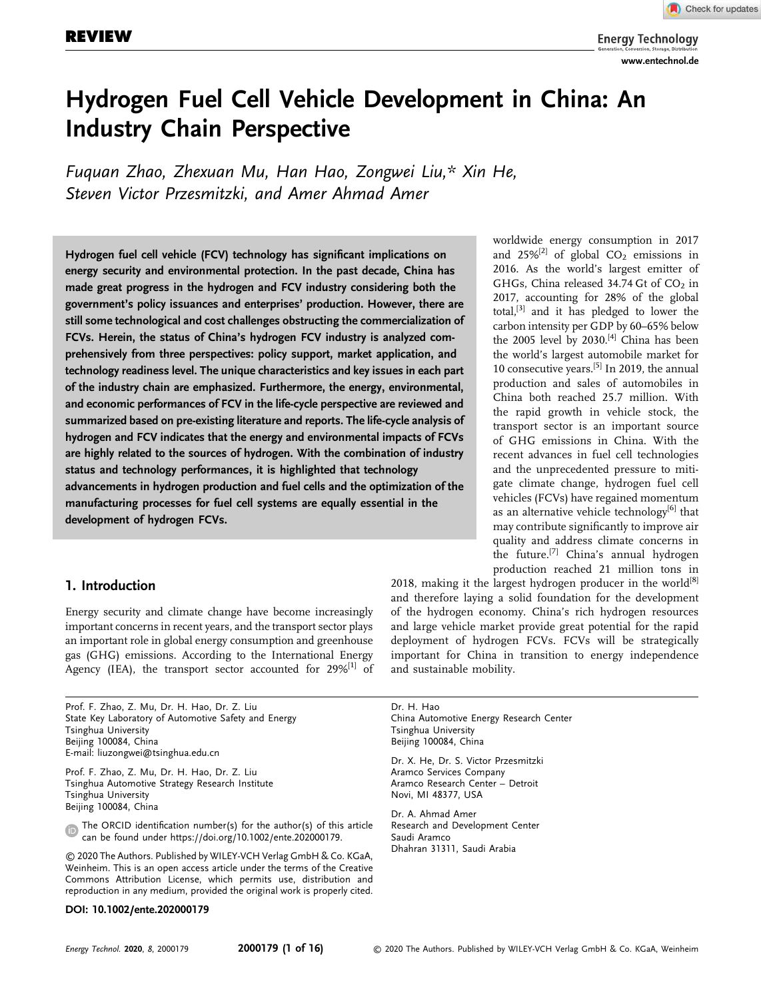# Hydrogen Fuel Cell Vehicle Development in China: An Industry Chain Perspective

Fuquan Zhao, Zhexuan Mu, Han Hao, Zongwei Liu,\* Xin He, Steven Victor Przesmitzki, and Amer Ahmad Amer

Hydrogen fuel cell vehicle (FCV) technology has significant implications on energy security and environmental protection. In the past decade, China has made great progress in the hydrogen and FCV industry considering both the government's policy issuances and enterprises' production. However, there are still some technological and cost challenges obstructing the commercialization of FCVs. Herein, the status of China's hydrogen FCV industry is analyzed comprehensively from three perspectives: policy support, market application, and technology readiness level. The unique characteristics and key issues in each part of the industry chain are emphasized. Furthermore, the energy, environmental, and economic performances of FCV in the life-cycle perspective are reviewed and summarized based on pre-existing literature and reports. The life-cycle analysis of hydrogen and FCV indicates that the energy and environmental impacts of FCVs are highly related to the sources of hydrogen. With the combination of industry status and technology performances, it is highlighted that technology advancements in hydrogen production and fuel cells and the optimization of the manufacturing processes for fuel cell systems are equally essential in the development of hydrogen FCVs.

# 1. Introduction

Energy security and climate change have become increasingly important concerns in recent years, and the transport sector plays an important role in global energy consumption and greenhouse gas (GHG) emissions. According to the International Energy Agency (IEA), the transport sector accounted for  $29\%^{[1]}$  of

Prof. F. Zhao, Z. Mu, Dr. H. Hao, Dr. Z. Liu State Key Laboratory of Automotive Safety and Energy Tsinghua University Beijing 100084, China E-mail: [liuzongwei@tsinghua.edu.cn](mailto:liuzongwei@tsinghua.edu.cn)

Prof. F. Zhao, Z. Mu, Dr. H. Hao, Dr. Z. Liu Tsinghua Automotive Strategy Research Institute Tsinghua University Beijing 100084, China

The ORCID identification number(s) for the author(s) of this article  $\mathbf{D}$ can be found under<https://doi.org/10.1002/ente.202000179>.

© 2020 The Authors. Published by WILEY-VCH Verlag GmbH & Co. KGaA, Weinheim. This is an open access article under the terms of the [Creative](http://creativecommons.org/licenses/by/4.0/) [Commons Attribution](http://creativecommons.org/licenses/by/4.0/) License, which permits use, distribution and reproduction in any medium, provided the original work is properly cited.

# DOI: 10.1002/ente.202000179

worldwide energy consumption in 2017 and  $25\%^{[2]}$  of global CO<sub>2</sub> emissions in 2016. As the world's largest emitter of GHGs, China released 34.74 Gt of  $CO<sub>2</sub>$  in 2017, accounting for 28% of the global total, $[3]$  and it has pledged to lower the carbon intensity per GDP by 60–65% below the 2005 level by 2030.<sup>[4]</sup> China has been the world's largest automobile market for 10 consecutive years.<sup>[5]</sup> In 2019, the annual production and sales of automobiles in China both reached 25.7 million. With the rapid growth in vehicle stock, the transport sector is an important source of GHG emissions in China. With the recent advances in fuel cell technologies and the unprecedented pressure to mitigate climate change, hydrogen fuel cell vehicles (FCVs) have regained momentum as an alternative vehicle technology $[6]$  that may contribute significantly to improve air quality and address climate concerns in the future.[7] China's annual hydrogen production reached 21 million tons in

2018, making it the largest hydrogen producer in the world $[8]$ and therefore laying a solid foundation for the development of the hydrogen economy. China's rich hydrogen resources and large vehicle market provide great potential for the rapid deployment of hydrogen FCVs. FCVs will be strategically important for China in transition to energy independence and sustainable mobility.

Dr. H. Hao China Automotive Energy Research Center Tsinghua University Beijing 100084, China

Dr. X. He, Dr. S. Victor Przesmitzki Aramco Services Company Aramco Research Center – Detroit Novi, MI 48377, USA

Dr. A. Ahmad Amer Research and Development Center Saudi Aramco Dhahran 31311, Saudi Arabia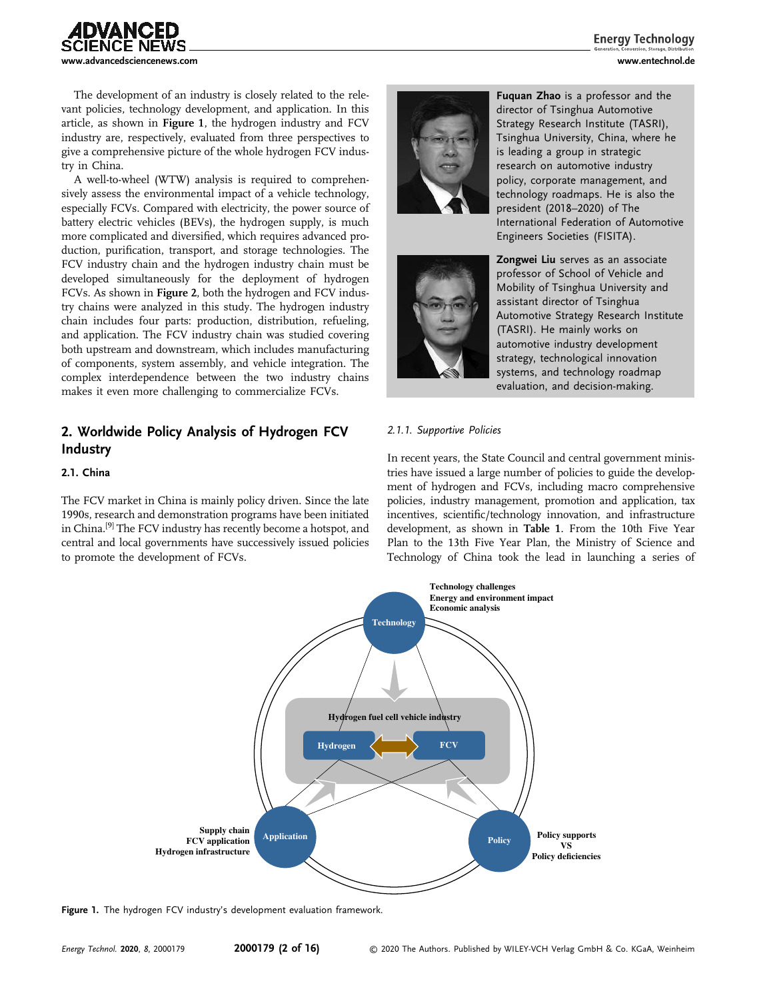

**Energy Technology** 

The development of an industry is closely related to the relevant policies, technology development, and application. In this article, as shown in Figure 1, the hydrogen industry and FCV industry are, respectively, evaluated from three perspectives to give a comprehensive picture of the whole hydrogen FCV industry in China.

A well-to-wheel (WTW) analysis is required to comprehensively assess the environmental impact of a vehicle technology, especially FCVs. Compared with electricity, the power source of battery electric vehicles (BEVs), the hydrogen supply, is much more complicated and diversified, which requires advanced production, purification, transport, and storage technologies. The FCV industry chain and the hydrogen industry chain must be developed simultaneously for the deployment of hydrogen FCVs. As shown in Figure 2, both the hydrogen and FCV industry chains were analyzed in this study. The hydrogen industry chain includes four parts: production, distribution, refueling, and application. The FCV industry chain was studied covering both upstream and downstream, which includes manufacturing of components, system assembly, and vehicle integration. The complex interdependence between the two industry chains makes it even more challenging to commercialize FCVs.

# 2. Worldwide Policy Analysis of Hydrogen FCV Industry

#### 2.1. China

The FCV market in China is mainly policy driven. Since the late 1990s, research and demonstration programs have been initiated in China.[9] The FCV industry has recently become a hotspot, and central and local governments have successively issued policies to promote the development of FCVs.





Fuquan Zhao is a professor and the director of Tsinghua Automotive Strategy Research Institute (TASRI), Tsinghua University, China, where he is leading a group in strategic research on automotive industry policy, corporate management, and technology roadmaps. He is also the president (2018–2020) of The International Federation of Automotive Engineers Societies (FISITA).

Zongwei Liu serves as an associate professor of School of Vehicle and Mobility of Tsinghua University and assistant director of Tsinghua Automotive Strategy Research Institute (TASRI). He mainly works on automotive industry development strategy, technological innovation systems, and technology roadmap evaluation, and decision-making.

#### 2.1.1. Supportive Policies

In recent years, the State Council and central government ministries have issued a large number of policies to guide the development of hydrogen and FCVs, including macro comprehensive policies, industry management, promotion and application, tax incentives, scientific/technology innovation, and infrastructure development, as shown in Table 1. From the 10th Five Year Plan to the 13th Five Year Plan, the Ministry of Science and Technology of China took the lead in launching a series of



Figure 1. The hydrogen FCV industry's development evaluation framework.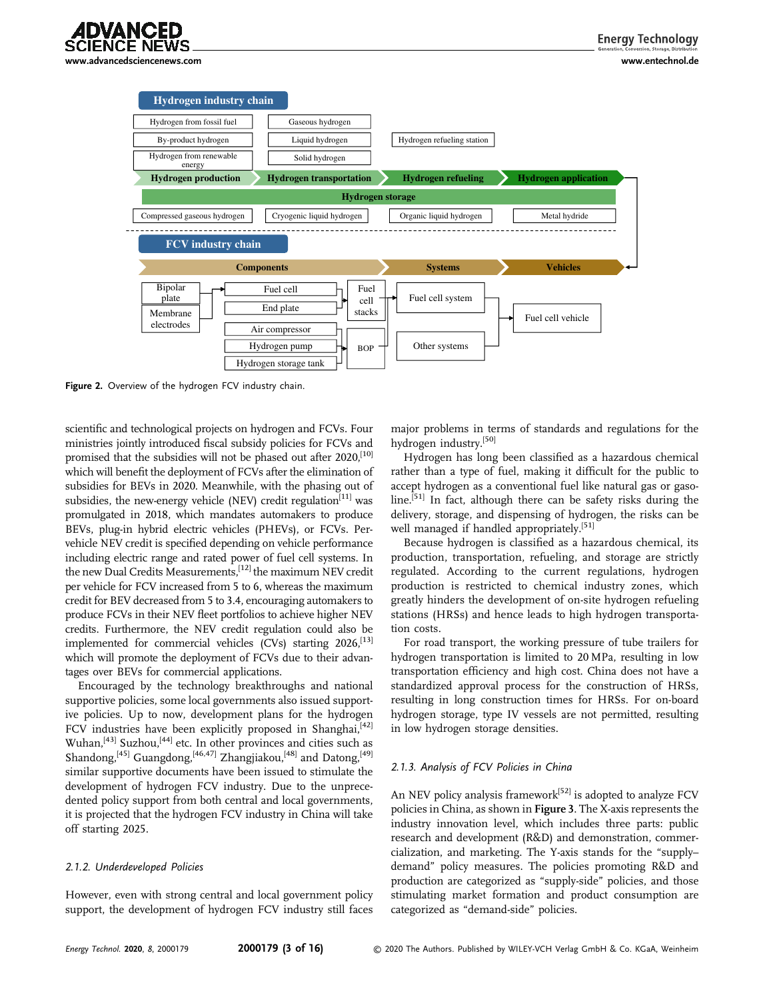



Figure 2. Overview of the hydrogen FCV industry chain.

scientific and technological projects on hydrogen and FCVs. Four ministries jointly introduced fiscal subsidy policies for FCVs and promised that the subsidies will not be phased out after  $2020$ ,<sup>[10]</sup> which will benefit the deployment of FCVs after the elimination of subsidies for BEVs in 2020. Meanwhile, with the phasing out of subsidies, the new-energy vehicle (NEV) credit regulation<sup>[11]</sup> was promulgated in 2018, which mandates automakers to produce BEVs, plug-in hybrid electric vehicles (PHEVs), or FCVs. Pervehicle NEV credit is specified depending on vehicle performance including electric range and rated power of fuel cell systems. In the new Dual Credits Measurements,[12] the maximum NEV credit per vehicle for FCV increased from 5 to 6, whereas the maximum credit for BEV decreased from 5 to 3.4, encouraging automakers to produce FCVs in their NEV fleet portfolios to achieve higher NEV credits. Furthermore, the NEV credit regulation could also be implemented for commercial vehicles (CVs) starting  $2026$ ,  $[13]$ which will promote the deployment of FCVs due to their advantages over BEVs for commercial applications.

Encouraged by the technology breakthroughs and national supportive policies, some local governments also issued supportive policies. Up to now, development plans for the hydrogen FCV industries have been explicitly proposed in Shanghai, $[42]$ Wuhan,[43] Suzhou,[44] etc. In other provinces and cities such as Shandong,<sup>[45]</sup> Guangdong,<sup>[46,47]</sup> Zhangjiakou,<sup>[48]</sup> and Datong,<sup>[49]</sup> similar supportive documents have been issued to stimulate the development of hydrogen FCV industry. Due to the unprecedented policy support from both central and local governments, it is projected that the hydrogen FCV industry in China will take off starting 2025.

#### 2.1.2. Underdeveloped Policies

However, even with strong central and local government policy support, the development of hydrogen FCV industry still faces major problems in terms of standards and regulations for the hydrogen industry.[50]

Hydrogen has long been classified as a hazardous chemical rather than a type of fuel, making it difficult for the public to accept hydrogen as a conventional fuel like natural gas or gasoline.<sup>[51]</sup> In fact, although there can be safety risks during the delivery, storage, and dispensing of hydrogen, the risks can be well managed if handled appropriately.<sup>[51]</sup>

Because hydrogen is classified as a hazardous chemical, its production, transportation, refueling, and storage are strictly regulated. According to the current regulations, hydrogen production is restricted to chemical industry zones, which greatly hinders the development of on-site hydrogen refueling stations (HRSs) and hence leads to high hydrogen transportation costs.

For road transport, the working pressure of tube trailers for hydrogen transportation is limited to 20 MPa, resulting in low transportation efficiency and high cost. China does not have a standardized approval process for the construction of HRSs, resulting in long construction times for HRSs. For on-board hydrogen storage, type IV vessels are not permitted, resulting in low hydrogen storage densities.

#### 2.1.3. Analysis of FCV Policies in China

An NEV policy analysis framework<sup>[52]</sup> is adopted to analyze FCV policies in China, as shown in Figure 3. The X-axis represents the industry innovation level, which includes three parts: public research and development (R&D) and demonstration, commercialization, and marketing. The Y-axis stands for the "supply– demand" policy measures. The policies promoting R&D and production are categorized as "supply-side" policies, and those stimulating market formation and product consumption are categorized as "demand-side" policies.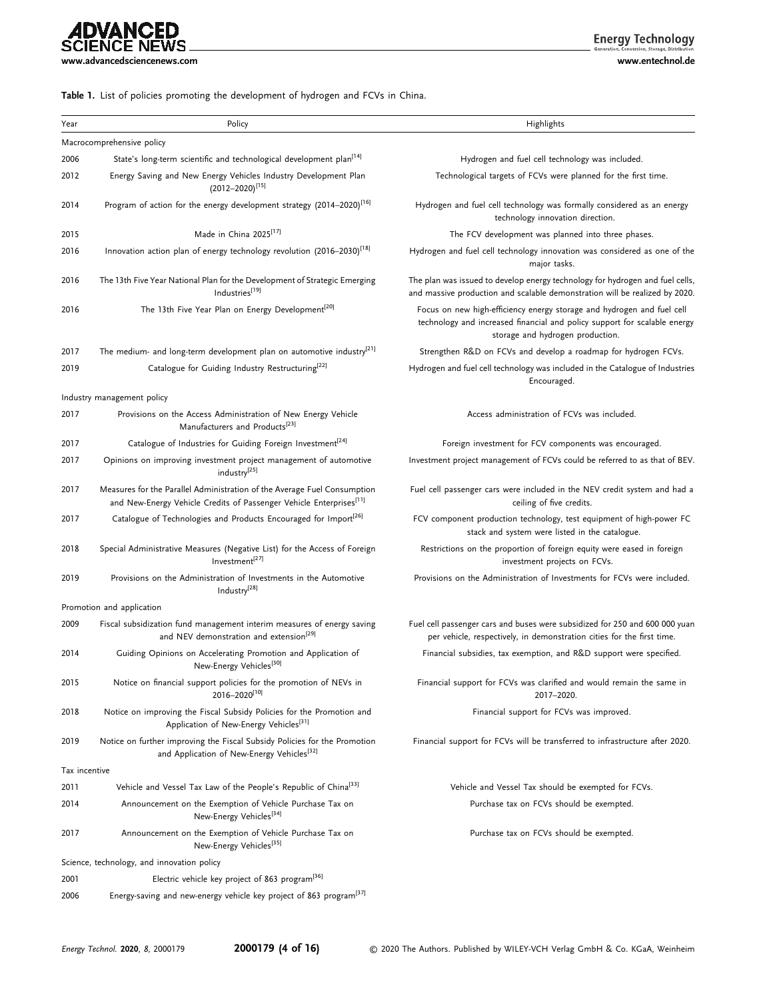# **ADVANCED**<br>SCIENCE NEWS [www.advancedsciencenews.com](http://www.advancedsciencenews.com) [www.entechnol.de](http://www.entechnol.de)

**Energy Technology** 

## Table 1. List of policies promoting the development of hydrogen and FCVs in China.

| Year          | Policy                                                                                                                                                      | Highlights                                                                                                                                                                              |
|---------------|-------------------------------------------------------------------------------------------------------------------------------------------------------------|-----------------------------------------------------------------------------------------------------------------------------------------------------------------------------------------|
|               | Macrocomprehensive policy                                                                                                                                   |                                                                                                                                                                                         |
| 2006          | State's long-term scientific and technological development plan <sup>1141</sup>                                                                             | Hydrogen and fuel cell technology was included.                                                                                                                                         |
| 2012          | Energy Saving and New Energy Vehicles Industry Development Plan<br>$(2012 - 2020)^{[15]}$                                                                   | Technological targets of FCVs were planned for the first time.                                                                                                                          |
| 2014          | Program of action for the energy development strategy (2014-2020) <sup>[16]</sup>                                                                           | Hydrogen and fuel cell technology was formally considered as an energy<br>technology innovation direction.                                                                              |
| 2015          | Made in China 2025 <sup>[17]</sup>                                                                                                                          | The FCV development was planned into three phases.                                                                                                                                      |
| 2016          | Innovation action plan of energy technology revolution (2016-2030) <sup>[18]</sup>                                                                          | Hydrogen and fuel cell technology innovation was considered as one of the<br>major tasks.                                                                                               |
| 2016          | The 13th Five Year National Plan for the Development of Strategic Emerging<br>Industries[19]                                                                | The plan was issued to develop energy technology for hydrogen and fuel cells,<br>and massive production and scalable demonstration will be realized by 2020.                            |
| 2016          | The 13th Five Year Plan on Energy Development <sup>[20]</sup>                                                                                               | Focus on new high-efficiency energy storage and hydrogen and fuel cell<br>technology and increased financial and policy support for scalable energy<br>storage and hydrogen production. |
| 2017          | The medium- and long-term development plan on automotive industry <sup>[21]</sup>                                                                           | Strengthen R&D on FCVs and develop a roadmap for hydrogen FCVs.                                                                                                                         |
| 2019          | Catalogue for Guiding Industry Restructuring <sup>[22]</sup>                                                                                                | Hydrogen and fuel cell technology was included in the Catalogue of Industries<br>Encouraged.                                                                                            |
|               | Industry management policy                                                                                                                                  |                                                                                                                                                                                         |
| 2017          | Provisions on the Access Administration of New Energy Vehicle<br>Manufacturers and Products <sup>[23]</sup>                                                 | Access administration of FCVs was included.                                                                                                                                             |
| 2017          | Catalogue of Industries for Guiding Foreign Investment <sup>[24]</sup>                                                                                      | Foreign investment for FCV components was encouraged.                                                                                                                                   |
| 2017          | Opinions on improving investment project management of automotive<br>industry <sup>[25]</sup>                                                               | Investment project management of FCVs could be referred to as that of BEV.                                                                                                              |
| 2017          | Measures for the Parallel Administration of the Average Fuel Consumption<br>and New-Energy Vehicle Credits of Passenger Vehicle Enterprises <sup>[11]</sup> | Fuel cell passenger cars were included in the NEV credit system and had a<br>ceiling of five credits.                                                                                   |
| 2017          | Catalogue of Technologies and Products Encouraged for Import <sup>[26]</sup>                                                                                | FCV component production technology, test equipment of high-power FC<br>stack and system were listed in the catalogue.                                                                  |
| 2018          | Special Administrative Measures (Negative List) for the Access of Foreign<br>Investment <sup>[27]</sup>                                                     | Restrictions on the proportion of foreign equity were eased in foreign<br>investment projects on FCVs.                                                                                  |
| 2019          | Provisions on the Administration of Investments in the Automotive<br>Industry <sup>[28]</sup>                                                               | Provisions on the Administration of Investments for FCVs were included.                                                                                                                 |
|               | Promotion and application                                                                                                                                   |                                                                                                                                                                                         |
| 2009          | Fiscal subsidization fund management interim measures of energy saving<br>and NEV demonstration and extension <sup>[29]</sup>                               | Fuel cell passenger cars and buses were subsidized for 250 and 600 000 yuan<br>per vehicle, respectively, in demonstration cities for the first time.                                   |
| 2014          | Guiding Opinions on Accelerating Promotion and Application of<br>New-Energy Vehicles <sup>[30]</sup>                                                        | Financial subsidies, tax exemption, and R&D support were specified.                                                                                                                     |
| 2015          | Notice on financial support policies for the promotion of NEVs in<br>2016-2020[10]                                                                          | Financial support for FCVs was clarified and would remain the same in<br>2017-2020.                                                                                                     |
| 2018          | Notice on improving the Fiscal Subsidy Policies for the Promotion and<br>Application of New-Energy Vehicles <sup>[31]</sup>                                 | Financial support for FCVs was improved.                                                                                                                                                |
| 2019          | Notice on further improving the Fiscal Subsidy Policies for the Promotion<br>and Application of New-Energy Vehicles <sup>[32]</sup>                         | Financial support for FCVs will be transferred to infrastructure after 2020.                                                                                                            |
| Tax incentive |                                                                                                                                                             |                                                                                                                                                                                         |
| 2011          | Vehicle and Vessel Tax Law of the People's Republic of China <sup>[33]</sup>                                                                                | Vehicle and Vessel Tax should be exempted for FCVs.                                                                                                                                     |
| 2014          | Announcement on the Exemption of Vehicle Purchase Tax on<br>New-Energy Vehicles <sup>[34]</sup>                                                             | Purchase tax on FCVs should be exempted.                                                                                                                                                |
| 2017          | Announcement on the Exemption of Vehicle Purchase Tax on<br>New-Energy Vehicles <sup>[35]</sup>                                                             | Purchase tax on FCVs should be exempted.                                                                                                                                                |
|               | Science, technology, and innovation policy                                                                                                                  |                                                                                                                                                                                         |
| 2001          | Electric vehicle key project of 863 program <sup>[36]</sup>                                                                                                 |                                                                                                                                                                                         |
| 2006          | Energy-saving and new-energy vehicle key project of 863 program <sup>[37]</sup>                                                                             |                                                                                                                                                                                         |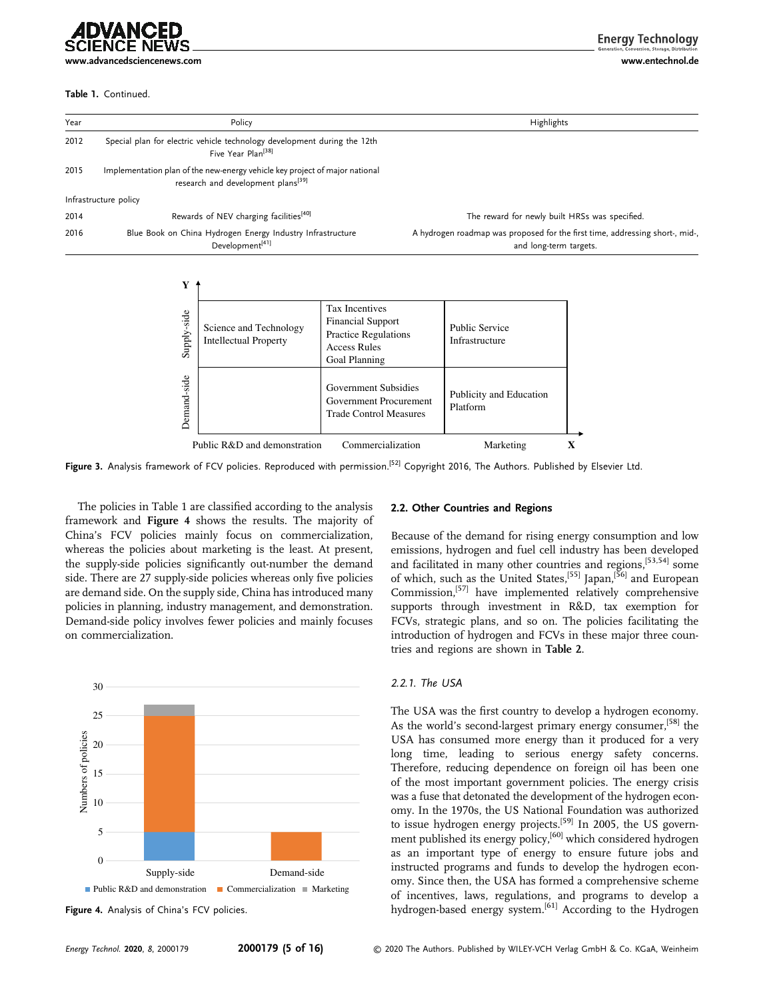#### Table 1. Continued.

**Energy Technology** 

```
www.advancedsciencenews.com www.entechnol.de
```

| Year | Policy                                                                                                                        | Highlights                                                                                             |
|------|-------------------------------------------------------------------------------------------------------------------------------|--------------------------------------------------------------------------------------------------------|
| 2012 | Special plan for electric vehicle technology development during the 12th<br>Five Year Plan <sup>[38]</sup>                    |                                                                                                        |
| 2015 | Implementation plan of the new-energy vehicle key project of major national<br>research and development plans <sup>[39]</sup> |                                                                                                        |
|      | Infrastructure policy                                                                                                         |                                                                                                        |
| 2014 | Rewards of NEV charging facilities <sup>[40]</sup>                                                                            | The reward for newly built HRSs was specified.                                                         |
| 2016 | Blue Book on China Hydrogen Energy Industry Infrastructure<br>Development <sup>[41]</sup>                                     | A hydrogen roadmap was proposed for the first time, addressing short-, mid-,<br>and long-term targets. |

| Supply-side | Science and Technology<br><b>Intellectual Property</b>         | <b>Tax Incentives</b><br><b>Financial Support</b><br><b>Practice Regulations</b><br><b>Access Rules</b><br>Goal Planning | <b>Public Service</b><br>Infrastructure |  |  |
|-------------|----------------------------------------------------------------|--------------------------------------------------------------------------------------------------------------------------|-----------------------------------------|--|--|
| Demand-side |                                                                | Government Subsidies<br>Government Procurement<br><b>Trade Control Measures</b>                                          | Publicity and Education<br>Platform     |  |  |
|             | Public R&D and demonstration<br>Commercialization<br>Marketing |                                                                                                                          |                                         |  |  |

Figure 3. Analysis framework of FCV policies. Reproduced with permission.<sup>[52]</sup> Copyright 2016, The Authors. Published by Elsevier Ltd.

The policies in Table 1 are classified according to the analysis framework and Figure 4 shows the results. The majority of China's FCV policies mainly focus on commercialization, whereas the policies about marketing is the least. At present, the supply-side policies significantly out-number the demand side. There are 27 supply-side policies whereas only five policies are demand side. On the supply side, China has introduced many policies in planning, industry management, and demonstration. Demand-side policy involves fewer policies and mainly focuses on commercialization.



Figure 4. Analysis of China's FCV policies.

#### 2.2. Other Countries and Regions

Because of the demand for rising energy consumption and low emissions, hydrogen and fuel cell industry has been developed and facilitated in many other countries and regions,[53,54] some of which, such as the United States,<sup>[55]</sup> Japan,<sup>[56]</sup> and European Commission,[57] have implemented relatively comprehensive supports through investment in R&D, tax exemption for FCVs, strategic plans, and so on. The policies facilitating the introduction of hydrogen and FCVs in these major three countries and regions are shown in Table 2.

#### 2.2.1. The USA

The USA was the first country to develop a hydrogen economy. As the world's second-largest primary energy consumer,<sup>[58]</sup> the USA has consumed more energy than it produced for a very long time, leading to serious energy safety concerns. Therefore, reducing dependence on foreign oil has been one of the most important government policies. The energy crisis was a fuse that detonated the development of the hydrogen economy. In the 1970s, the US National Foundation was authorized to issue hydrogen energy projects.<sup>[59]</sup> In 2005, the US government published its energy policy,<sup>[60]</sup> which considered hydrogen as an important type of energy to ensure future jobs and instructed programs and funds to develop the hydrogen economy. Since then, the USA has formed a comprehensive scheme of incentives, laws, regulations, and programs to develop a hydrogen-based energy system.<sup>[61]</sup> According to the Hydrogen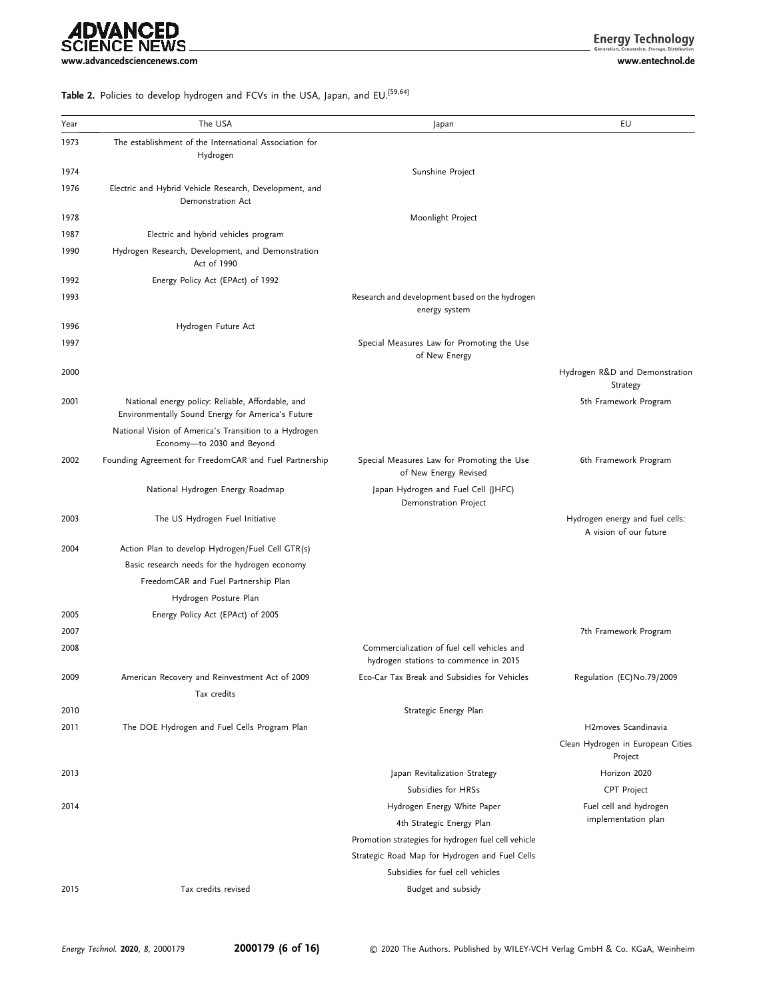# **ADVANCED**<br>SCIENCE NEWS

**Energy Technology** 

[www.advancedsciencenews.com](http://www.advancedsciencenews.com) [www.entechnol.de](http://www.entechnol.de)

## Table 2. Policies to develop hydrogen and FCVs in the USA, Japan, and EU.<sup>[59,64]</sup>

| Year | The USA                                                                                                | Japan                                                                                | EU                                                        |
|------|--------------------------------------------------------------------------------------------------------|--------------------------------------------------------------------------------------|-----------------------------------------------------------|
| 1973 | The establishment of the International Association for<br>Hydrogen                                     |                                                                                      |                                                           |
| 1974 |                                                                                                        | Sunshine Project                                                                     |                                                           |
| 1976 | Electric and Hybrid Vehicle Research, Development, and<br>Demonstration Act                            |                                                                                      |                                                           |
| 1978 |                                                                                                        | Moonlight Project                                                                    |                                                           |
| 1987 | Electric and hybrid vehicles program                                                                   |                                                                                      |                                                           |
| 1990 | Hydrogen Research, Development, and Demonstration<br>Act of 1990                                       |                                                                                      |                                                           |
| 1992 | Energy Policy Act (EPAct) of 1992                                                                      |                                                                                      |                                                           |
| 1993 |                                                                                                        | Research and development based on the hydrogen<br>energy system                      |                                                           |
| 1996 | Hydrogen Future Act                                                                                    |                                                                                      |                                                           |
| 1997 |                                                                                                        | Special Measures Law for Promoting the Use<br>of New Energy                          |                                                           |
| 2000 |                                                                                                        |                                                                                      | Hydrogen R&D and Demonstration<br>Strategy                |
| 2001 | National energy policy: Reliable, Affordable, and<br>Environmentally Sound Energy for America's Future |                                                                                      | 5th Framework Program                                     |
|      | National Vision of America's Transition to a Hydrogen<br>Economy-to 2030 and Beyond                    |                                                                                      |                                                           |
| 2002 | Founding Agreement for FreedomCAR and Fuel Partnership                                                 | Special Measures Law for Promoting the Use<br>of New Energy Revised                  | 6th Framework Program                                     |
|      | National Hydrogen Energy Roadmap                                                                       | Japan Hydrogen and Fuel Cell (JHFC)<br>Demonstration Project                         |                                                           |
| 2003 | The US Hydrogen Fuel Initiative                                                                        |                                                                                      | Hydrogen energy and fuel cells:<br>A vision of our future |
| 2004 | Action Plan to develop Hydrogen/Fuel Cell GTR(s)                                                       |                                                                                      |                                                           |
|      | Basic research needs for the hydrogen economy                                                          |                                                                                      |                                                           |
|      | FreedomCAR and Fuel Partnership Plan                                                                   |                                                                                      |                                                           |
|      | Hydrogen Posture Plan                                                                                  |                                                                                      |                                                           |
| 2005 | Energy Policy Act (EPAct) of 2005                                                                      |                                                                                      |                                                           |
| 2007 |                                                                                                        |                                                                                      | 7th Framework Program                                     |
| 2008 |                                                                                                        | Commercialization of fuel cell vehicles and<br>hydrogen stations to commence in 2015 |                                                           |
| 2009 | American Recovery and Reinvestment Act of 2009                                                         | Eco-Car Tax Break and Subsidies for Vehicles                                         | Regulation (EC)No.79/2009                                 |
|      | Tax credits                                                                                            |                                                                                      |                                                           |
| 2010 |                                                                                                        | Strategic Energy Plan                                                                |                                                           |
| 2011 | The DOE Hydrogen and Fuel Cells Program Plan                                                           |                                                                                      | H <sub>2</sub> moves Scandinavia                          |
|      |                                                                                                        |                                                                                      | Clean Hydrogen in European Cities<br>Project              |
| 2013 |                                                                                                        | Japan Revitalization Strategy                                                        | Horizon 2020                                              |
|      |                                                                                                        | Subsidies for HRSs                                                                   | CPT Project                                               |
| 2014 |                                                                                                        | Hydrogen Energy White Paper                                                          | Fuel cell and hydrogen                                    |
|      |                                                                                                        | 4th Strategic Energy Plan                                                            | implementation plan                                       |
|      |                                                                                                        | Promotion strategies for hydrogen fuel cell vehicle                                  |                                                           |
|      |                                                                                                        | Strategic Road Map for Hydrogen and Fuel Cells                                       |                                                           |
|      |                                                                                                        | Subsidies for fuel cell vehicles                                                     |                                                           |
| 2015 | Tax credits revised                                                                                    | Budget and subsidy                                                                   |                                                           |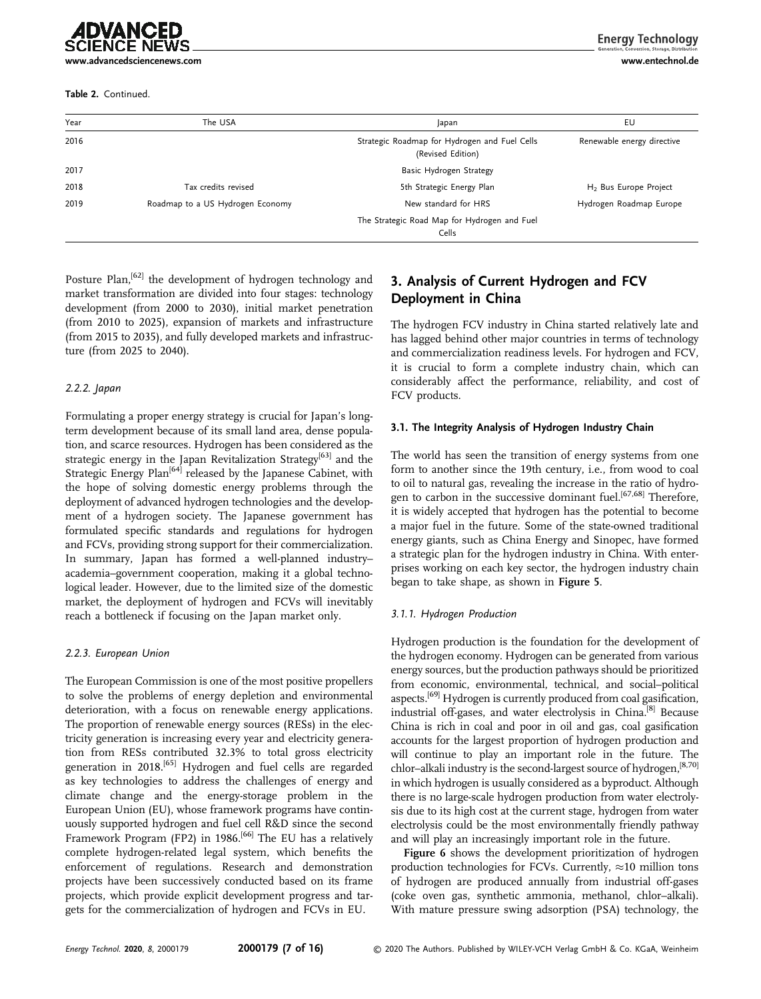[www.advancedsciencenews.com](http://www.advancedsciencenews.com) [www.entechnol.de](http://www.entechnol.de)

IDVANCED

Table 2. Continued.

**Energy Technology** 

| Year | The USA                          | Japan                                                              | EU                                |
|------|----------------------------------|--------------------------------------------------------------------|-----------------------------------|
| 2016 |                                  | Strategic Roadmap for Hydrogen and Fuel Cells<br>(Revised Edition) | Renewable energy directive        |
| 2017 |                                  | Basic Hydrogen Strategy                                            |                                   |
| 2018 | Tax credits revised              | 5th Strategic Energy Plan                                          | H <sub>2</sub> Bus Europe Project |
| 2019 | Roadmap to a US Hydrogen Economy | New standard for HRS                                               | Hydrogen Roadmap Europe           |
|      |                                  | The Strategic Road Map for Hydrogen and Fuel<br>Cells              |                                   |

Posture Plan,<sup>[62]</sup> the development of hydrogen technology and market transformation are divided into four stages: technology development (from 2000 to 2030), initial market penetration (from 2010 to 2025), expansion of markets and infrastructure (from 2015 to 2035), and fully developed markets and infrastructure (from 2025 to 2040).

#### 2.2.2. Japan

Formulating a proper energy strategy is crucial for Japan's longterm development because of its small land area, dense population, and scarce resources. Hydrogen has been considered as the strategic energy in the Japan Revitalization Strategy<sup>[63]</sup> and the Strategic Energy Plan<sup>[64]</sup> released by the Japanese Cabinet, with the hope of solving domestic energy problems through the deployment of advanced hydrogen technologies and the development of a hydrogen society. The Japanese government has formulated specific standards and regulations for hydrogen and FCVs, providing strong support for their commercialization. In summary, Japan has formed a well-planned industry– academia–government cooperation, making it a global technological leader. However, due to the limited size of the domestic market, the deployment of hydrogen and FCVs will inevitably reach a bottleneck if focusing on the Japan market only.

#### 2.2.3. European Union

The European Commission is one of the most positive propellers to solve the problems of energy depletion and environmental deterioration, with a focus on renewable energy applications. The proportion of renewable energy sources (RESs) in the electricity generation is increasing every year and electricity generation from RESs contributed 32.3% to total gross electricity generation in 2018.<sup>[65]</sup> Hydrogen and fuel cells are regarded as key technologies to address the challenges of energy and climate change and the energy-storage problem in the European Union (EU), whose framework programs have continuously supported hydrogen and fuel cell R&D since the second Framework Program (FP2) in 1986.<sup>[66]</sup> The EU has a relatively complete hydrogen-related legal system, which benefits the enforcement of regulations. Research and demonstration projects have been successively conducted based on its frame projects, which provide explicit development progress and targets for the commercialization of hydrogen and FCVs in EU.

# 3. Analysis of Current Hydrogen and FCV Deployment in China

The hydrogen FCV industry in China started relatively late and has lagged behind other major countries in terms of technology and commercialization readiness levels. For hydrogen and FCV, it is crucial to form a complete industry chain, which can considerably affect the performance, reliability, and cost of FCV products.

#### 3.1. The Integrity Analysis of Hydrogen Industry Chain

The world has seen the transition of energy systems from one form to another since the 19th century, i.e., from wood to coal to oil to natural gas, revealing the increase in the ratio of hydrogen to carbon in the successive dominant fuel.<sup>[67,68]</sup> Therefore, it is widely accepted that hydrogen has the potential to become a major fuel in the future. Some of the state-owned traditional energy giants, such as China Energy and Sinopec, have formed a strategic plan for the hydrogen industry in China. With enterprises working on each key sector, the hydrogen industry chain began to take shape, as shown in Figure 5.

#### 3.1.1. Hydrogen Production

Hydrogen production is the foundation for the development of the hydrogen economy. Hydrogen can be generated from various energy sources, but the production pathways should be prioritized from economic, environmental, technical, and social–political aspects.[69] Hydrogen is currently produced from coal gasification, industrial off-gases, and water electrolysis in China.[8] Because China is rich in coal and poor in oil and gas, coal gasification accounts for the largest proportion of hydrogen production and will continue to play an important role in the future. The chlor–alkali industry is the second-largest source of hydrogen,<sup>[8,70]</sup> in which hydrogen is usually considered as a byproduct. Although there is no large-scale hydrogen production from water electrolysis due to its high cost at the current stage, hydrogen from water electrolysis could be the most environmentally friendly pathway and will play an increasingly important role in the future.

Figure 6 shows the development prioritization of hydrogen production technologies for FCVs. Currently,  $\approx$  10 million tons of hydrogen are produced annually from industrial off-gases (coke oven gas, synthetic ammonia, methanol, chlor–alkali). With mature pressure swing adsorption (PSA) technology, the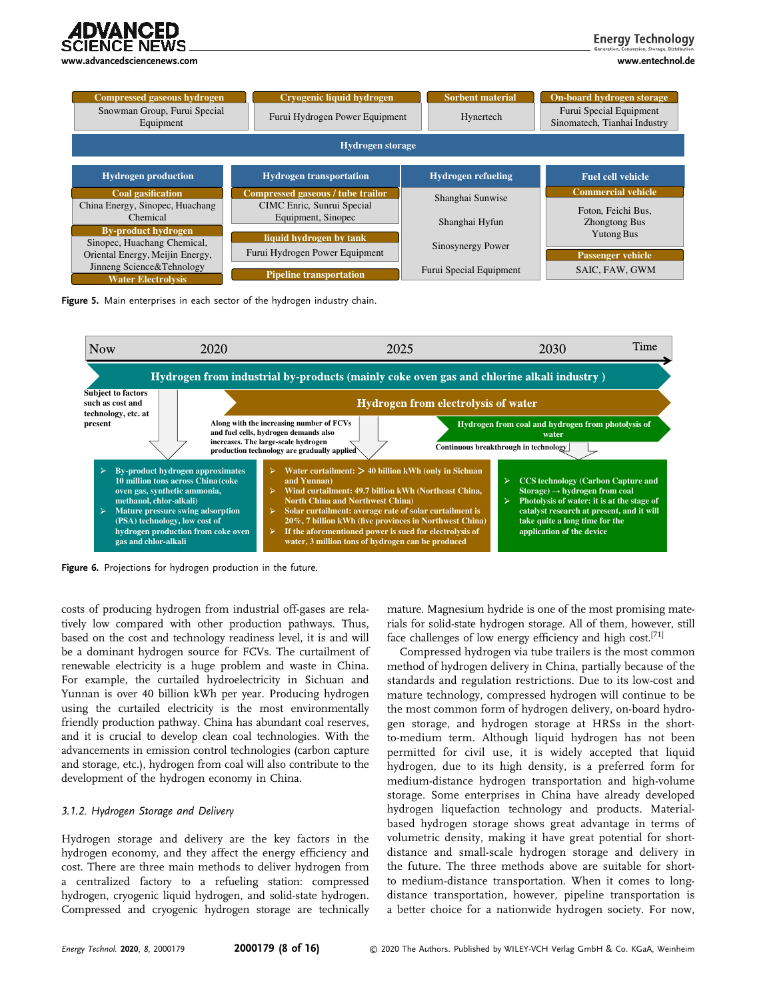

**Energy Technology** 

| <b>Compressed gaseous hydrogen</b><br>Snowman Group, Furui Special<br>Equipment | Cryogenic liquid hydrogen<br>Furui Hydrogen Power Equipment | <b>Sorbent material</b><br>Hynertech | On-board hydrogen storage<br>Furui Special Equipment<br>Sinomatech, Tianhai Industry |  |
|---------------------------------------------------------------------------------|-------------------------------------------------------------|--------------------------------------|--------------------------------------------------------------------------------------|--|
| <b>Hydrogen</b> storage                                                         |                                                             |                                      |                                                                                      |  |
| <b>Hydrogen production</b>                                                      | <b>Hydrogen transportation</b>                              | <b>Hydrogen refueling</b>            | <b>Fuel cell vehicle</b>                                                             |  |
| <b>Coal gasification</b>                                                        | Compressed gaseous / tube trailor                           | Shanghai Sunwise                     | <b>Commercial vehicle</b>                                                            |  |
| China Energy, Sinopec, Huachang                                                 | CIMC Enric, Sunrui Special                                  |                                      | Foton, Feichi Bus,                                                                   |  |
| Chemical                                                                        | Equipment, Sinopec                                          | Shanghai Hyfun                       | <b>Zhongtong Bus</b>                                                                 |  |
| <b>By-product hydrogen</b><br>Sinopec, Huachang Chemical,                       | liquid hydrogen by tank                                     |                                      | <b>Yutong Bus</b>                                                                    |  |
| Oriental Energy, Meijin Energy,                                                 | Furui Hydrogen Power Equipment                              | Sinosynergy Power                    | <b>Passenger</b> vehicle                                                             |  |
| Jinneng Science&Tehnology                                                       | <b>Pipeline transportation</b>                              | Furui Special Equipment              | SAIC. FAW. GWM                                                                       |  |
| <b>Water Electrolysis</b>                                                       |                                                             |                                      |                                                                                      |  |

Figure 5. Main enterprises in each sector of the hydrogen industry chain.



Figure 6. Projections for hydrogen production in the future.

costs of producing hydrogen from industrial off-gases are relatively low compared with other production pathways. Thus, based on the cost and technology readiness level, it is and will be a dominant hydrogen source for FCVs. The curtailment of renewable electricity is a huge problem and waste in China. For example, the curtailed hydroelectricity in Sichuan and Yunnan is over 40 billion kWh per year. Producing hydrogen using the curtailed electricity is the most environmentally friendly production pathway. China has abundant coal reserves, and it is crucial to develop clean coal technologies. With the advancements in emission control technologies (carbon capture and storage, etc.), hydrogen from coal will also contribute to the development of the hydrogen economy in China.

#### 3.1.2. Hydrogen Storage and Delivery

Hydrogen storage and delivery are the key factors in the hydrogen economy, and they affect the energy efficiency and cost. There are three main methods to deliver hydrogen from a centralized factory to a refueling station: compressed hydrogen, cryogenic liquid hydrogen, and solid-state hydrogen. Compressed and cryogenic hydrogen storage are technically

mature. Magnesium hydride is one of the most promising materials for solid-state hydrogen storage. All of them, however, still face challenges of low energy efficiency and high cost.<sup>[71]</sup>

Compressed hydrogen via tube trailers is the most common method of hydrogen delivery in China, partially because of the standards and regulation restrictions. Due to its low-cost and mature technology, compressed hydrogen will continue to be the most common form of hydrogen delivery, on-board hydrogen storage, and hydrogen storage at HRSs in the shortto-medium term. Although liquid hydrogen has not been permitted for civil use, it is widely accepted that liquid hydrogen, due to its high density, is a preferred form for medium-distance hydrogen transportation and high-volume storage. Some enterprises in China have already developed hydrogen liquefaction technology and products. Materialbased hydrogen storage shows great advantage in terms of volumetric density, making it have great potential for shortdistance and small-scale hydrogen storage and delivery in the future. The three methods above are suitable for shortto medium-distance transportation. When it comes to longdistance transportation, however, pipeline transportation is a better choice for a nationwide hydrogen society. For now,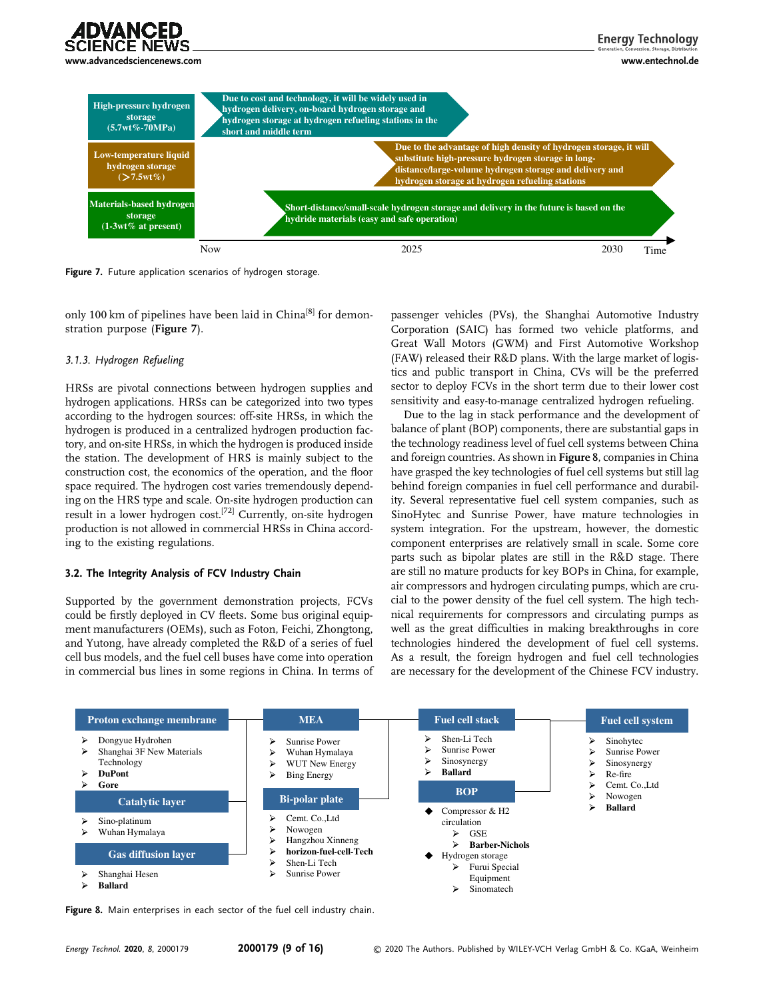



Figure 7. Future application scenarios of hydrogen storage.

only 100 km of pipelines have been laid in China<sup>[8]</sup> for demonstration purpose (Figure 7).

#### 3.1.3. Hydrogen Refueling

HRSs are pivotal connections between hydrogen supplies and hydrogen applications. HRSs can be categorized into two types according to the hydrogen sources: off-site HRSs, in which the hydrogen is produced in a centralized hydrogen production factory, and on-site HRSs, in which the hydrogen is produced inside the station. The development of HRS is mainly subject to the construction cost, the economics of the operation, and the floor space required. The hydrogen cost varies tremendously depending on the HRS type and scale. On-site hydrogen production can result in a lower hydrogen cost.[72] Currently, on-site hydrogen production is not allowed in commercial HRSs in China according to the existing regulations.

#### 3.2. The Integrity Analysis of FCV Industry Chain

Supported by the government demonstration projects, FCVs could be firstly deployed in CV fleets. Some bus original equipment manufacturers (OEMs), such as Foton, Feichi, Zhongtong, and Yutong, have already completed the R&D of a series of fuel cell bus models, and the fuel cell buses have come into operation in commercial bus lines in some regions in China. In terms of passenger vehicles (PVs), the Shanghai Automotive Industry Corporation (SAIC) has formed two vehicle platforms, and Great Wall Motors (GWM) and First Automotive Workshop (FAW) released their R&D plans. With the large market of logistics and public transport in China, CVs will be the preferred sector to deploy FCVs in the short term due to their lower cost sensitivity and easy-to-manage centralized hydrogen refueling.

Due to the lag in stack performance and the development of balance of plant (BOP) components, there are substantial gaps in the technology readiness level of fuel cell systems between China and foreign countries. As shown in Figure 8, companies in China have grasped the key technologies of fuel cell systems but still lag behind foreign companies in fuel cell performance and durability. Several representative fuel cell system companies, such as SinoHytec and Sunrise Power, have mature technologies in system integration. For the upstream, however, the domestic component enterprises are relatively small in scale. Some core parts such as bipolar plates are still in the R&D stage. There are still no mature products for key BOPs in China, for example, air compressors and hydrogen circulating pumps, which are crucial to the power density of the fuel cell system. The high technical requirements for compressors and circulating pumps as well as the great difficulties in making breakthroughs in core technologies hindered the development of fuel cell systems. As a result, the foreign hydrogen and fuel cell technologies are necessary for the development of the Chinese FCV industry.



Figure 8. Main enterprises in each sector of the fuel cell industry chain.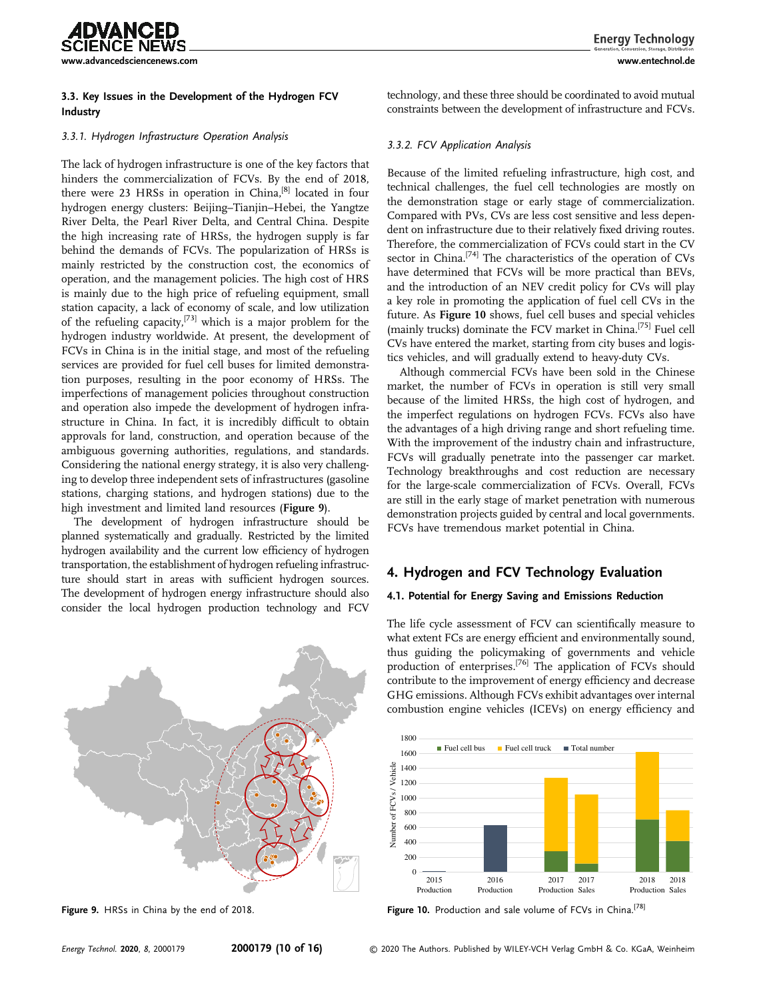

#### 3.3. Key Issues in the Development of the Hydrogen FCV Industry

#### 3.3.1. Hydrogen Infrastructure Operation Analysis

The lack of hydrogen infrastructure is one of the key factors that hinders the commercialization of FCVs. By the end of 2018, there were 23 HRSs in operation in China,<sup>[8]</sup> located in four hydrogen energy clusters: Beijing–Tianjin–Hebei, the Yangtze River Delta, the Pearl River Delta, and Central China. Despite the high increasing rate of HRSs, the hydrogen supply is far behind the demands of FCVs. The popularization of HRSs is mainly restricted by the construction cost, the economics of operation, and the management policies. The high cost of HRS is mainly due to the high price of refueling equipment, small station capacity, a lack of economy of scale, and low utilization of the refueling capacity,<sup>[73]</sup> which is a major problem for the hydrogen industry worldwide. At present, the development of FCVs in China is in the initial stage, and most of the refueling services are provided for fuel cell buses for limited demonstration purposes, resulting in the poor economy of HRSs. The imperfections of management policies throughout construction and operation also impede the development of hydrogen infrastructure in China. In fact, it is incredibly difficult to obtain approvals for land, construction, and operation because of the ambiguous governing authorities, regulations, and standards. Considering the national energy strategy, it is also very challenging to develop three independent sets of infrastructures (gasoline stations, charging stations, and hydrogen stations) due to the high investment and limited land resources (Figure 9).

The development of hydrogen infrastructure should be planned systematically and gradually. Restricted by the limited hydrogen availability and the current low efficiency of hydrogen transportation, the establishment of hydrogen refueling infrastructure should start in areas with sufficient hydrogen sources. The development of hydrogen energy infrastructure should also consider the local hydrogen production technology and FCV



Figure 9. HRSs in China by the end of 2018.

technology, and these three should be coordinated to avoid mutual constraints between the development of infrastructure and FCVs.

#### 3.3.2. FCV Application Analysis

Because of the limited refueling infrastructure, high cost, and technical challenges, the fuel cell technologies are mostly on the demonstration stage or early stage of commercialization. Compared with PVs, CVs are less cost sensitive and less dependent on infrastructure due to their relatively fixed driving routes. Therefore, the commercialization of FCVs could start in the CV sector in China.<sup>[74]</sup> The characteristics of the operation of CVs have determined that FCVs will be more practical than BEVs, and the introduction of an NEV credit policy for CVs will play a key role in promoting the application of fuel cell CVs in the future. As Figure 10 shows, fuel cell buses and special vehicles (mainly trucks) dominate the FCV market in China.<sup>[75]</sup> Fuel cell CVs have entered the market, starting from city buses and logistics vehicles, and will gradually extend to heavy-duty CVs.

Although commercial FCVs have been sold in the Chinese market, the number of FCVs in operation is still very small because of the limited HRSs, the high cost of hydrogen, and the imperfect regulations on hydrogen FCVs. FCVs also have the advantages of a high driving range and short refueling time. With the improvement of the industry chain and infrastructure, FCVs will gradually penetrate into the passenger car market. Technology breakthroughs and cost reduction are necessary for the large-scale commercialization of FCVs. Overall, FCVs are still in the early stage of market penetration with numerous demonstration projects guided by central and local governments. FCVs have tremendous market potential in China.

# 4. Hydrogen and FCV Technology Evaluation

#### 4.1. Potential for Energy Saving and Emissions Reduction

The life cycle assessment of FCV can scientifically measure to what extent FCs are energy efficient and environmentally sound, thus guiding the policymaking of governments and vehicle production of enterprises.<sup>[76]</sup> The application of FCVs should contribute to the improvement of energy efficiency and decrease GHG emissions. Although FCVs exhibit advantages over internal combustion engine vehicles (ICEVs) on energy efficiency and



Figure 10. Production and sale volume of FCVs in China.<sup>[78]</sup>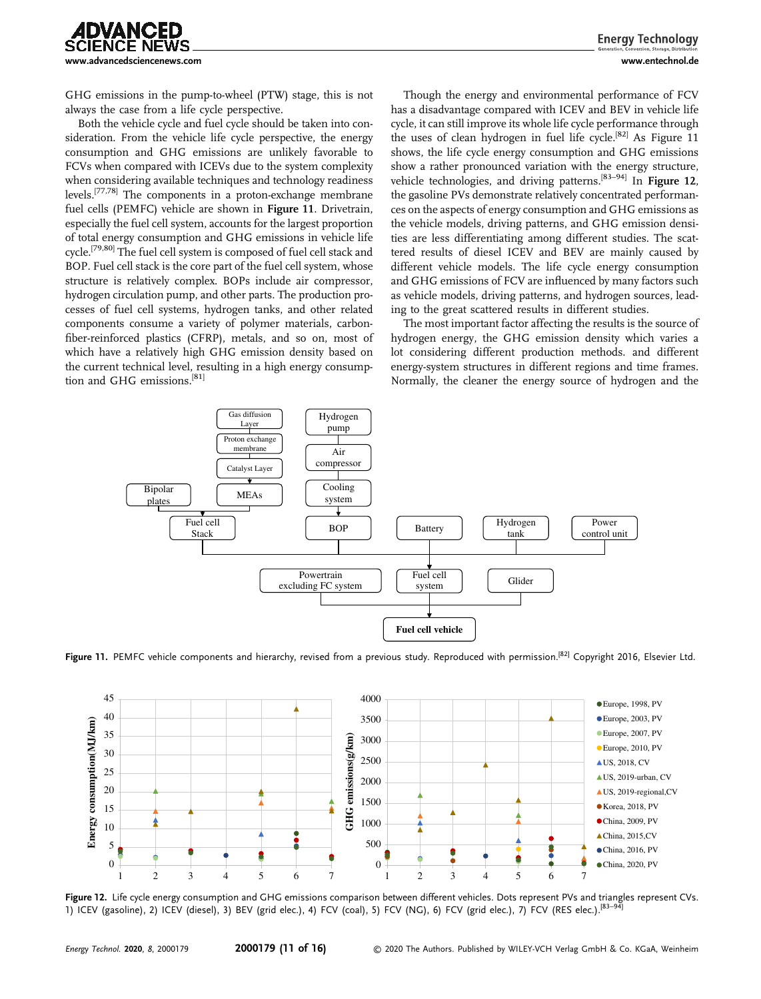

GHG emissions in the pump-to-wheel (PTW) stage, this is not always the case from a life cycle perspective.

Both the vehicle cycle and fuel cycle should be taken into consideration. From the vehicle life cycle perspective, the energy consumption and GHG emissions are unlikely favorable to FCVs when compared with ICEVs due to the system complexity when considering available techniques and technology readiness levels.[77,78] The components in a proton-exchange membrane fuel cells (PEMFC) vehicle are shown in Figure 11. Drivetrain, especially the fuel cell system, accounts for the largest proportion of total energy consumption and GHG emissions in vehicle life cycle.[79,80] The fuel cell system is composed of fuel cell stack and BOP. Fuel cell stack is the core part of the fuel cell system, whose structure is relatively complex. BOPs include air compressor, hydrogen circulation pump, and other parts. The production processes of fuel cell systems, hydrogen tanks, and other related components consume a variety of polymer materials, carbonfiber-reinforced plastics (CFRP), metals, and so on, most of which have a relatively high GHG emission density based on the current technical level, resulting in a high energy consumption and GHG emissions.<sup>[81]</sup>

Though the energy and environmental performance of FCV has a disadvantage compared with ICEV and BEV in vehicle life cycle, it can still improve its whole life cycle performance through the uses of clean hydrogen in fuel life cycle.<sup>[82]</sup> As Figure 11 shows, the life cycle energy consumption and GHG emissions show a rather pronounced variation with the energy structure, vehicle technologies, and driving patterns.<sup>[83-94]</sup> In Figure 12, the gasoline PVs demonstrate relatively concentrated performances on the aspects of energy consumption and GHG emissions as the vehicle models, driving patterns, and GHG emission densities are less differentiating among different studies. The scattered results of diesel ICEV and BEV are mainly caused by different vehicle models. The life cycle energy consumption and GHG emissions of FCV are influenced by many factors such as vehicle models, driving patterns, and hydrogen sources, leading to the great scattered results in different studies.

The most important factor affecting the results is the source of hydrogen energy, the GHG emission density which varies a lot considering different production methods. and different energy-system structures in different regions and time frames. Normally, the cleaner the energy source of hydrogen and the



Figure 11. PEMFC vehicle components and hierarchy, revised from a previous study. Reproduced with permission.<sup>[82]</sup> Copyright 2016, Elsevier Ltd.



Figure 12. Life cycle energy consumption and GHG emissions comparison between different vehicles. Dots represent PVs and triangles represent CVs. 1) ICEV (gasoline), 2) ICEV (diesel), 3) BEV (grid elec.), 4) FCV (coal), 5) FCV (NG), 6) FCV (grid elec.), 7) FCV (RES elec.).<sup>[83–94</sup>]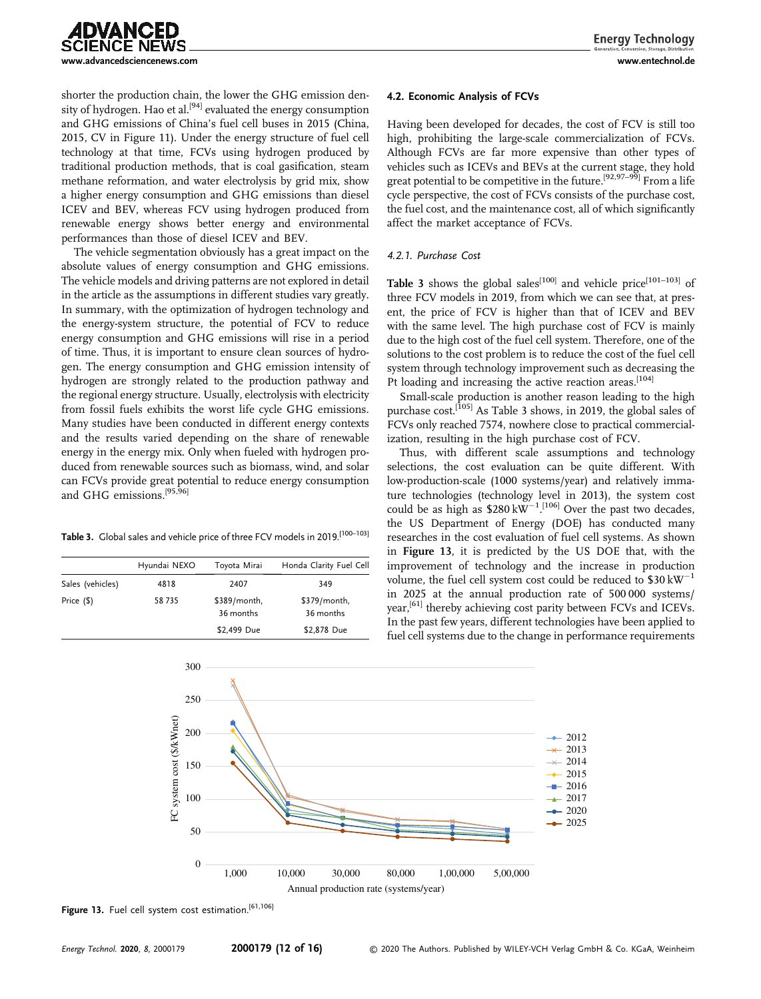

shorter the production chain, the lower the GHG emission density of hydrogen. Hao et al.<sup>[94]</sup> evaluated the energy consumption and GHG emissions of China's fuel cell buses in 2015 (China, 2015, CV in Figure 11). Under the energy structure of fuel cell technology at that time, FCVs using hydrogen produced by traditional production methods, that is coal gasification, steam methane reformation, and water electrolysis by grid mix, show a higher energy consumption and GHG emissions than diesel ICEV and BEV, whereas FCV using hydrogen produced from renewable energy shows better energy and environmental performances than those of diesel ICEV and BEV.

The vehicle segmentation obviously has a great impact on the absolute values of energy consumption and GHG emissions. The vehicle models and driving patterns are not explored in detail in the article as the assumptions in different studies vary greatly. In summary, with the optimization of hydrogen technology and the energy-system structure, the potential of FCV to reduce energy consumption and GHG emissions will rise in a period of time. Thus, it is important to ensure clean sources of hydrogen. The energy consumption and GHG emission intensity of hydrogen are strongly related to the production pathway and the regional energy structure. Usually, electrolysis with electricity from fossil fuels exhibits the worst life cycle GHG emissions. Many studies have been conducted in different energy contexts and the results varied depending on the share of renewable energy in the energy mix. Only when fueled with hydrogen produced from renewable sources such as biomass, wind, and solar can FCVs provide great potential to reduce energy consumption and GHG emissions.[95,96]

Table 3. Global sales and vehicle price of three FCV models in 2019.<sup>[100-103]</sup>

|                  | Hyundai NEXO | Toyota Mirai              | Honda Clarity Fuel Cell   |
|------------------|--------------|---------------------------|---------------------------|
| Sales (vehicles) | 4818         | 2407                      | 349                       |
| Price (\$)       | 58735        | \$389/month,<br>36 months | \$379/month,<br>36 months |
|                  |              | \$2,499 Due               | \$2,878 Due               |

#### 4.2. Economic Analysis of FCVs

Having been developed for decades, the cost of FCV is still too high, prohibiting the large-scale commercialization of FCVs. Although FCVs are far more expensive than other types of vehicles such as ICEVs and BEVs at the current stage, they hold great potential to be competitive in the future.<sup>[92,97-99]</sup> From a life cycle perspective, the cost of FCVs consists of the purchase cost, the fuel cost, and the maintenance cost, all of which significantly affect the market acceptance of FCVs.

#### 4.2.1. Purchase Cost

Table 3 shows the global sales<sup>[100]</sup> and vehicle price<sup>[101–103]</sup> of three FCV models in 2019, from which we can see that, at present, the price of FCV is higher than that of ICEV and BEV with the same level. The high purchase cost of FCV is mainly due to the high cost of the fuel cell system. Therefore, one of the solutions to the cost problem is to reduce the cost of the fuel cell system through technology improvement such as decreasing the Pt loading and increasing the active reaction areas.<sup>[104]</sup>

Small-scale production is another reason leading to the high purchase cost.<sup>[105]</sup> As Table 3 shows, in 2019, the global sales of FCVs only reached 7574, nowhere close to practical commercialization, resulting in the high purchase cost of FCV.

Thus, with different scale assumptions and technology selections, the cost evaluation can be quite different. With low-production-scale (1000 systems/year) and relatively immature technologies (technology level in 2013), the system cost could be as high as  $$280\,\text{kW}^{-1}$ .<sup>[106]</sup> Over the past two decades, the US Department of Energy (DOE) has conducted many researches in the cost evaluation of fuel cell systems. As shown in Figure 13, it is predicted by the US DOE that, with the improvement of technology and the increase in production volume, the fuel cell system cost could be reduced to  $$30 \text{ kW}^{-1}$ in 2025 at the annual production rate of 500 000 systems/ year,<sup>[61]</sup> thereby achieving cost parity between FCVs and ICEVs. In the past few years, different technologies have been applied to fuel cell systems due to the change in performance requirements



Figure 13. Fuel cell system cost estimation.<sup>[61,106]</sup>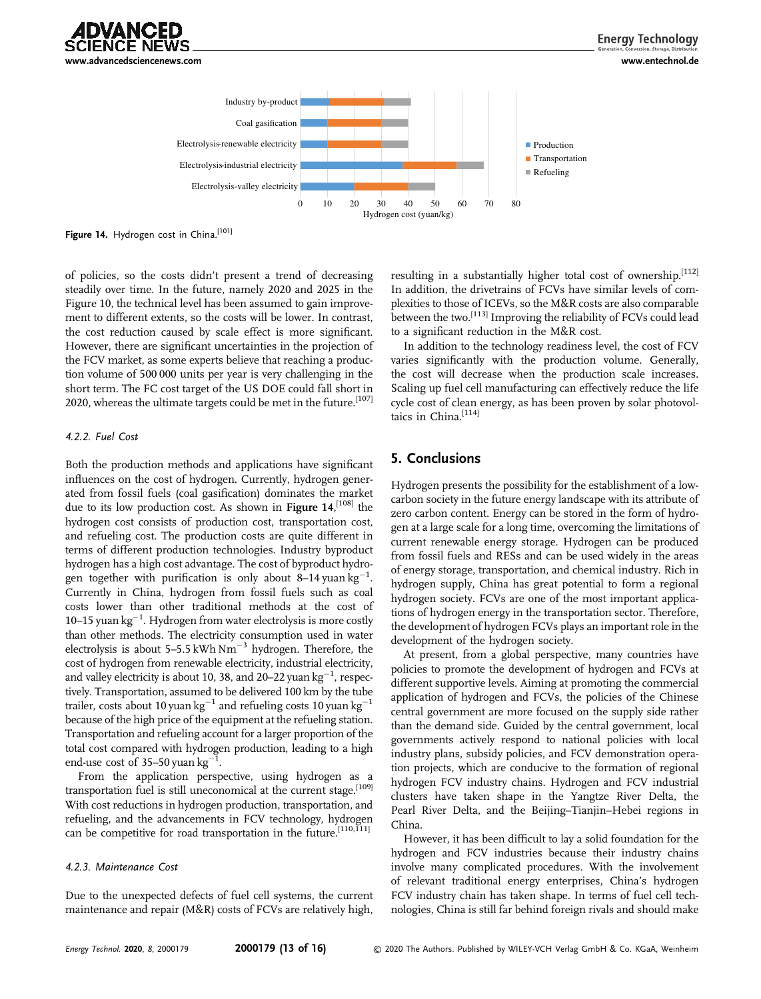



Figure 14. Hydrogen cost in China.<sup>[101]</sup>

of policies, so the costs didn't present a trend of decreasing steadily over time. In the future, namely 2020 and 2025 in the Figure 10, the technical level has been assumed to gain improvement to different extents, so the costs will be lower. In contrast, the cost reduction caused by scale effect is more significant. However, there are significant uncertainties in the projection of the FCV market, as some experts believe that reaching a production volume of 500 000 units per year is very challenging in the short term. The FC cost target of the US DOE could fall short in 2020, whereas the ultimate targets could be met in the future.<sup>[107]</sup>

#### 4.2.2. Fuel Cost

Both the production methods and applications have significant influences on the cost of hydrogen. Currently, hydrogen generated from fossil fuels (coal gasification) dominates the market due to its low production cost. As shown in **Figure 14**,<sup>[108]</sup> the hydrogen cost consists of production cost, transportation cost hydrogen cost consists of production cost, transportation cost, and refueling cost. The production costs are quite different in terms of different production technologies. Industry byproduct hydrogen has a high cost advantage. The cost of byproduct hydrogen together with purification is only about 8-14 yuan  $kg^{-1}$ . Currently in China, hydrogen from fossil fuels such as coal costs lower than other traditional methods at the cost of 10-15 yuan  $kg^{-1}$ . Hydrogen from water electrolysis is more costly than other methods. The electricity consumption used in water electrolysis is about 5–5.5 kWh  $Nm^{-3}$  hydrogen. Therefore, the cost of hydrogen from renewable electricity, industrial electricity, and valley electricity is about 10, 38, and 20–22 yuan  $kg^{-1}$ , respectively. Transportation, assumed to be delivered 100 km by the tube trailer, costs about 10 yuan kg<sup>-1</sup> and refueling costs 10 yuan kg<sup>-1</sup> because of the high price of the equipment at the refueling station. Transportation and refueling account for a larger proportion of the total cost compared with hydrogen production, leading to a high end-use cost of 35–50 yuan  $kg^{-1}$ .

From the application perspective, using hydrogen as a transportation fuel is still uneconomical at the current stage.<sup>[109]</sup> With cost reductions in hydrogen production, transportation, and refueling, and the advancements in FCV technology, hydrogen can be competitive for road transportation in the future.<sup>[110,111]</sup>

### 4.2.3. Maintenance Cost

Due to the unexpected defects of fuel cell systems, the current maintenance and repair (M&R) costs of FCVs are relatively high, resulting in a substantially higher total cost of ownership.<sup>[112]</sup> In addition, the drivetrains of FCVs have similar levels of complexities to those of ICEVs, so the M&R costs are also comparable between the two.[113] Improving the reliability of FCVs could lead to a significant reduction in the M&R cost.

In addition to the technology readiness level, the cost of FCV varies significantly with the production volume. Generally, the cost will decrease when the production scale increases. Scaling up fuel cell manufacturing can effectively reduce the life cycle cost of clean energy, as has been proven by solar photovoltaics in China.[114]

## 5. Conclusions

Hydrogen presents the possibility for the establishment of a lowcarbon society in the future energy landscape with its attribute of zero carbon content. Energy can be stored in the form of hydrogen at a large scale for a long time, overcoming the limitations of current renewable energy storage. Hydrogen can be produced from fossil fuels and RESs and can be used widely in the areas of energy storage, transportation, and chemical industry. Rich in hydrogen supply, China has great potential to form a regional hydrogen society. FCVs are one of the most important applications of hydrogen energy in the transportation sector. Therefore, the development of hydrogen FCVs plays an important role in the development of the hydrogen society.

At present, from a global perspective, many countries have policies to promote the development of hydrogen and FCVs at different supportive levels. Aiming at promoting the commercial application of hydrogen and FCVs, the policies of the Chinese central government are more focused on the supply side rather than the demand side. Guided by the central government, local governments actively respond to national policies with local industry plans, subsidy policies, and FCV demonstration operation projects, which are conducive to the formation of regional hydrogen FCV industry chains. Hydrogen and FCV industrial clusters have taken shape in the Yangtze River Delta, the Pearl River Delta, and the Beijing–Tianjin–Hebei regions in China.

However, it has been difficult to lay a solid foundation for the hydrogen and FCV industries because their industry chains involve many complicated procedures. With the involvement of relevant traditional energy enterprises, China's hydrogen FCV industry chain has taken shape. In terms of fuel cell technologies, China is still far behind foreign rivals and should make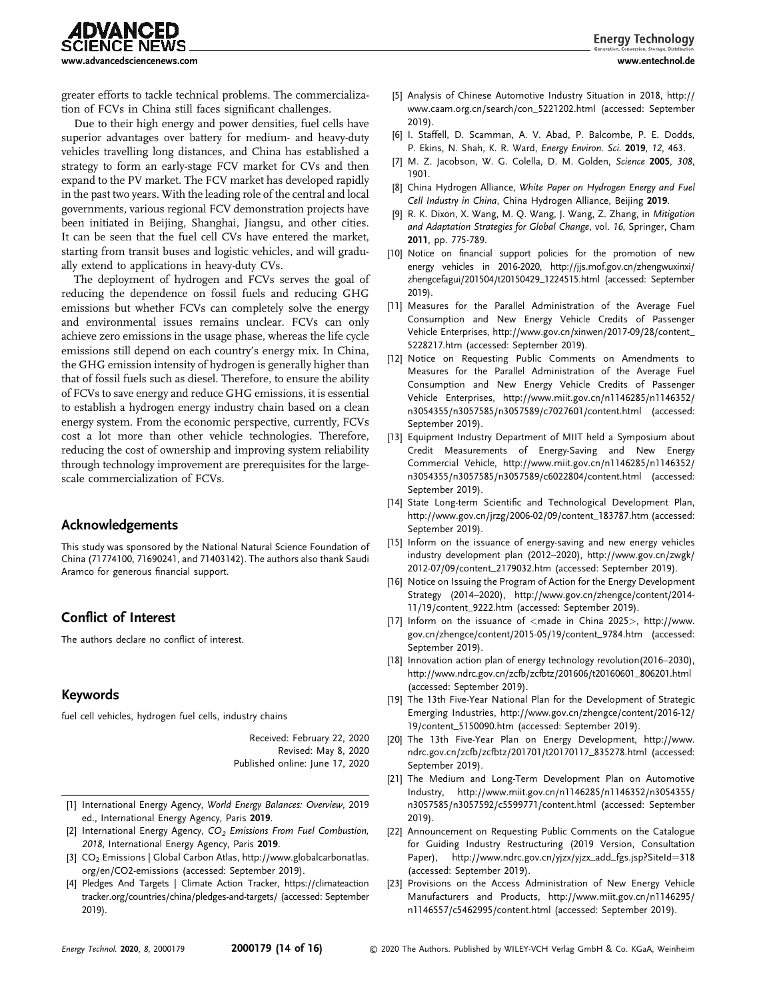**advanced** NCE NEWS [www.advancedsciencenews.com](http://www.advancedsciencenews.com) [www.entechnol.de](http://www.entechnol.de)

greater efforts to tackle technical problems. The commercialization of FCVs in China still faces significant challenges.

Due to their high energy and power densities, fuel cells have superior advantages over battery for medium- and heavy-duty vehicles travelling long distances, and China has established a strategy to form an early-stage FCV market for CVs and then expand to the PV market. The FCV market has developed rapidly in the past two years. With the leading role of the central and local governments, various regional FCV demonstration projects have been initiated in Beijing, Shanghai, Jiangsu, and other cities. It can be seen that the fuel cell CVs have entered the market, starting from transit buses and logistic vehicles, and will gradually extend to applications in heavy-duty CVs.

The deployment of hydrogen and FCVs serves the goal of reducing the dependence on fossil fuels and reducing GHG emissions but whether FCVs can completely solve the energy and environmental issues remains unclear. FCVs can only achieve zero emissions in the usage phase, whereas the life cycle emissions still depend on each country's energy mix. In China, the GHG emission intensity of hydrogen is generally higher than that of fossil fuels such as diesel. Therefore, to ensure the ability of FCVs to save energy and reduce GHG emissions, it is essential to establish a hydrogen energy industry chain based on a clean energy system. From the economic perspective, currently, FCVs cost a lot more than other vehicle technologies. Therefore, reducing the cost of ownership and improving system reliability through technology improvement are prerequisites for the largescale commercialization of FCVs.

### Acknowledgements

This study was sponsored by the National Natural Science Foundation of China (71774100, 71690241, and 71403142). The authors also thank Saudi Aramco for generous financial support.

# Conflict of Interest

The authors declare no conflict of interest.

## Keywords

fuel cell vehicles, hydrogen fuel cells, industry chains

Received: February 22, 2020 Revised: May 8, 2020 Published online: June 17, 2020

- [1] International Energy Agency, World Energy Balances: Overview, 2019 ed., International Energy Agency, Paris 2019.
- [2] International Energy Agency,  $CO<sub>2</sub>$  Emissions From Fuel Combustion, 2018, International Energy Agency, Paris 2019.
- [3] CO2 Emissions | Global Carbon Atlas, [http://www.globalcarbonatlas.](http://www.globalcarbonatlas.org/en/CO2-emissions) [org/en/CO2-emissions](http://www.globalcarbonatlas.org/en/CO2-emissions) (accessed: September 2019).
- [4] Pledges And Targets | Climate Action Tracker, [https://climateaction](https://climateactiontracker.org/countries/china/pledges-and-targets/) [tracker.org/countries/china/pledges-and-targets/](https://climateactiontracker.org/countries/china/pledges-and-targets/) (accessed: September 2019).
- [5] Analysis of Chinese Automotive Industry Situation in 2018, [http://](http://www.caam.org.cn/search/con_5221202.html) [www.caam.org.cn/search/con\\_5221202.html](http://www.caam.org.cn/search/con_5221202.html) (accessed: September 2019).
- [6] I. Staffell, D. Scamman, A. V. Abad, P. Balcombe, P. E. Dodds, P. Ekins, N. Shah, K. R. Ward, Energy Environ. Sci. 2019, 12, 463.
- [7] M. Z. Jacobson, W. G. Colella, D. M. Golden, Science 2005, 308, 1901.
- [8] China Hydrogen Alliance, White Paper on Hydrogen Energy and Fuel Cell Industry in China, China Hydrogen Alliance, Beijing 2019.
- [9] R. K. Dixon, X. Wang, M. Q. Wang, J. Wang, Z. Zhang, in Mitigation and Adaptation Strategies for Global Change, vol. 16, Springer, Cham 2011, pp. 775-789.
- [10] Notice on financial support policies for the promotion of new energy vehicles in 2016-2020, [http://jjs.mof.gov.cn/zhengwuxinxi/](http://jjs.mof.gov.cn/zhengwuxinxi/zhengcefagui/201504/t20150429_1224515.html) [zhengcefagui/201504/t20150429\\_1224515.html](http://jjs.mof.gov.cn/zhengwuxinxi/zhengcefagui/201504/t20150429_1224515.html) (accessed: September 2019).
- [11] Measures for the Parallel Administration of the Average Fuel Consumption and New Energy Vehicle Credits of Passenger Vehicle Enterprises, [http://www.gov.cn/xinwen/2017-09/28/content\\_](http://www.gov.cn/xinwen/2017-09/28/content_5228217.htm) [5228217.htm](http://www.gov.cn/xinwen/2017-09/28/content_5228217.htm) (accessed: September 2019).
- [12] Notice on Requesting Public Comments on Amendments to Measures for the Parallel Administration of the Average Fuel Consumption and New Energy Vehicle Credits of Passenger Vehicle Enterprises, [http://www.miit.gov.cn/n1146285/n1146352/](http://www.miit.gov.cn/n1146285/n1146352/n3054355/n3057585/n3057589/c7027601/content.html) [n3054355/n3057585/n3057589/c7027601/content.html](http://www.miit.gov.cn/n1146285/n1146352/n3054355/n3057585/n3057589/c7027601/content.html) (accessed: September 2019).
- [13] Equipment Industry Department of MIIT held a Symposium about Credit Measurements of Energy-Saving and New Energy Commercial Vehicle, [http://www.miit.gov.cn/n1146285/n1146352/](http://www.miit.gov.cn/n1146285/n1146352/n3054355/n3057585/n3057589/c6022804/content.html) [n3054355/n3057585/n3057589/c6022804/content.html](http://www.miit.gov.cn/n1146285/n1146352/n3054355/n3057585/n3057589/c6022804/content.html) (accessed: September 2019).
- [14] State Long-term Scientific and Technological Development Plan, [http://www.gov.cn/jrzg/2006-02/09/content\\_183787.htm](http://www.gov.cn/jrzg/2006-02/09/content_183787.htm) (accessed: September 2019).
- [15] Inform on the issuance of energy-saving and new energy vehicles industry development plan (2012–2020), [http://www.gov.cn/zwgk/](http://www.gov.cn/zwgk/2012-07/09/content_2179032.htm) [2012-07/09/content\\_2179032.htm](http://www.gov.cn/zwgk/2012-07/09/content_2179032.htm) (accessed: September 2019).
- [16] Notice on Issuing the Program of Action for the Energy Development Strategy (2014–2020), [http://www.gov.cn/zhengce/content/2014-](http://www.gov.cn/zhengce/content/2014-11/19/content_9222.htm) [11/19/content\\_9222.htm](http://www.gov.cn/zhengce/content/2014-11/19/content_9222.htm) (accessed: September 2019).
- [17] Inform on the issuance of <made in China 2025>, [http://www.](http://www.gov.cn/zhengce/content/2015-05/19/content_9784.htm) [gov.cn/zhengce/content/2015-05/19/content\\_9784.htm](http://www.gov.cn/zhengce/content/2015-05/19/content_9784.htm) (accessed: September 2019).
- [18] Innovation action plan of energy technology revolution(2016–2030), [http://www.ndrc.gov.cn/zcfb/zcfbtz/201606/t20160601\\_806201.html](http://www.ndrc.gov.cn/zcfb/zcfbtz/201606/t20160601_806201.html) (accessed: September 2019).
- [19] The 13th Five-Year National Plan for the Development of Strategic Emerging Industries, [http://www.gov.cn/zhengce/content/2016-12/](http://www.gov.cn/zhengce/content/2016-12/19/content_5150090.htm) [19/content\\_5150090.htm](http://www.gov.cn/zhengce/content/2016-12/19/content_5150090.htm) (accessed: September 2019).
- [20] The 13th Five-Year Plan on Energy Development, [http://www.](http://www.ndrc.gov.cn/zcfb/zcfbtz/201701/t20170117_835278.html) [ndrc.gov.cn/zcfb/zcfbtz/201701/t20170117\\_835278.html](http://www.ndrc.gov.cn/zcfb/zcfbtz/201701/t20170117_835278.html) (accessed: September 2019).
- [21] The Medium and Long-Term Development Plan on Automotive Industry, [http://www.miit.gov.cn/n1146285/n1146352/n3054355/](http://www.miit.gov.cn/n1146285/n1146352/n3054355/n3057585/n3057592/c5599771/content.html) [n3057585/n3057592/c5599771/content.html](http://www.miit.gov.cn/n1146285/n1146352/n3054355/n3057585/n3057592/c5599771/content.html) (accessed: September 2019).
- [22] Announcement on Requesting Public Comments on the Catalogue for Guiding Industry Restructuring (2019 Version, Consultation Paper), [http://www.ndrc.gov.cn/yjzx/yjzx\\_add\\_fgs.jsp?SiteId](http://www.ndrc.gov.cn/yjzx/yjzx_add_fgs.jsp?SiteId=318)=[318](http://www.ndrc.gov.cn/yjzx/yjzx_add_fgs.jsp?SiteId=318) (accessed: September 2019).
- [23] Provisions on the Access Administration of New Energy Vehicle Manufacturers and Products, [http://www.miit.gov.cn/n1146295/](http://www.miit.gov.cn/n1146295/n1146557/c5462995/content.html) [n1146557/c5462995/content.html](http://www.miit.gov.cn/n1146295/n1146557/c5462995/content.html) (accessed: September 2019).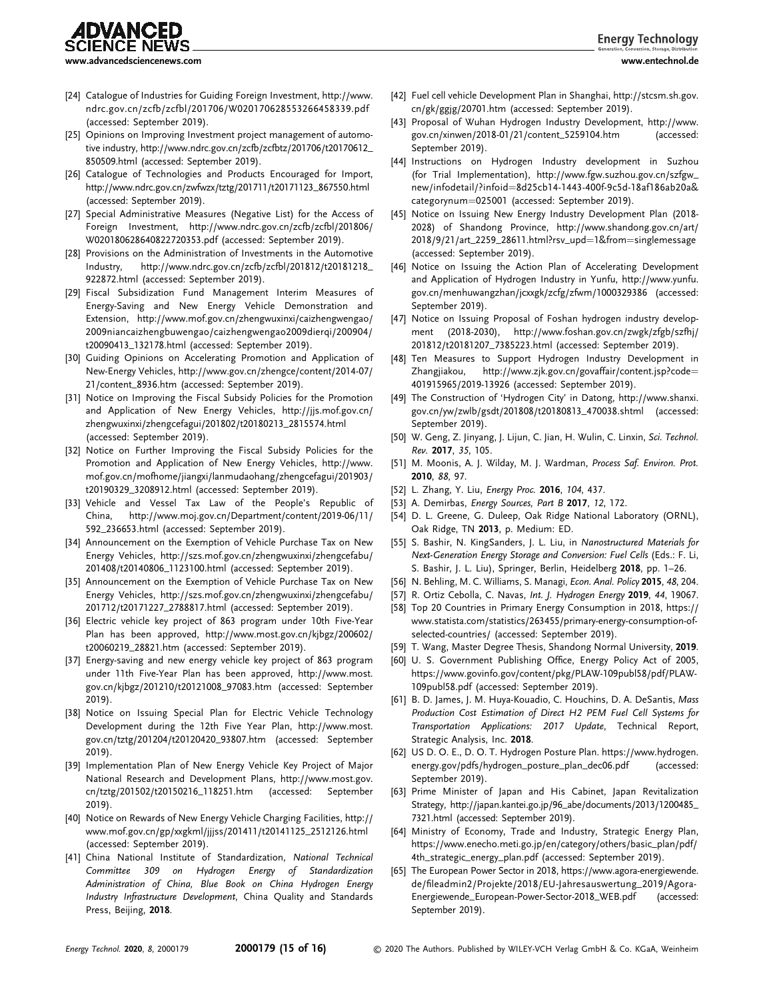**Energy Technology** 

**4DVANCED** 

- [24] Catalogue of Industries for Guiding Foreign Investment, [http://www.](http://www.ndrc.gov.cn/zcfb/zcfbl/201706/W020170628553266458339.pdf) [ndrc.gov.cn/zcfb/zcfbl/201706/W020170628553266458339.pdf](http://www.ndrc.gov.cn/zcfb/zcfbl/201706/W020170628553266458339.pdf) (accessed: September 2019).
- [25] Opinions on Improving Investment project management of automotive industry, [http://www.ndrc.gov.cn/zcfb/zcfbtz/201706/t20170612\\_](http://www.ndrc.gov.cn/zcfb/zcfbtz/201706/t20170612_850509.html) [850509.html](http://www.ndrc.gov.cn/zcfb/zcfbtz/201706/t20170612_850509.html) (accessed: September 2019).
- [26] Catalogue of Technologies and Products Encouraged for Import, [http://www.ndrc.gov.cn/zwfwzx/tztg/201711/t20171123\\_867550.html](http://www.ndrc.gov.cn/zwfwzx/tztg/201711/t20171123_867550.html) (accessed: September 2019).
- [27] Special Administrative Measures (Negative List) for the Access of Foreign Investment, [http://www.ndrc.gov.cn/zcfb/zcfbl/201806/](http://www.ndrc.gov.cn/zcfb/zcfbl/201806/W020180628640822720353.pdf) [W020180628640822720353.pdf](http://www.ndrc.gov.cn/zcfb/zcfbl/201806/W020180628640822720353.pdf) (accessed: September 2019).
- [28] Provisions on the Administration of Investments in the Automotive Industry, [http://www.ndrc.gov.cn/zcfb/zcfbl/201812/t20181218\\_](http://www.ndrc.gov.cn/zcfb/zcfbl/201812/t20181218_922872.html) [922872.html](http://www.ndrc.gov.cn/zcfb/zcfbl/201812/t20181218_922872.html) (accessed: September 2019).
- [29] Fiscal Subsidization Fund Management Interim Measures of Energy-Saving and New Energy Vehicle Demonstration and Extension, [http://www.mof.gov.cn/zhengwuxinxi/caizhengwengao/](http://www.mof.gov.cn/zhengwuxinxi/caizhengwengao/2009niancaizhengbuwengao/caizhengwengao2009dierqi/200904/t20090413_132178.html) [2009niancaizhengbuwengao/caizhengwengao2009dierqi/200904/](http://www.mof.gov.cn/zhengwuxinxi/caizhengwengao/2009niancaizhengbuwengao/caizhengwengao2009dierqi/200904/t20090413_132178.html) [t20090413\\_132178.html](http://www.mof.gov.cn/zhengwuxinxi/caizhengwengao/2009niancaizhengbuwengao/caizhengwengao2009dierqi/200904/t20090413_132178.html) (accessed: September 2019).
- [30] Guiding Opinions on Accelerating Promotion and Application of New-Energy Vehicles, [http://www.gov.cn/zhengce/content/2014-07/](http://www.gov.cn/zhengce/content/2014-07/21/content_8936.htm) [21/content\\_8936.htm](http://www.gov.cn/zhengce/content/2014-07/21/content_8936.htm) (accessed: September 2019).
- [31] Notice on Improving the Fiscal Subsidy Policies for the Promotion and Application of New Energy Vehicles, [http://jjs.mof.gov.cn/](http://jjs.mof.gov.cn/zhengwuxinxi/zhengcefagui/201802/t20180213_2815574.html) [zhengwuxinxi/zhengcefagui/201802/t20180213\\_2815574.html](http://jjs.mof.gov.cn/zhengwuxinxi/zhengcefagui/201802/t20180213_2815574.html) (accessed: September 2019).
- [32] Notice on Further Improving the Fiscal Subsidy Policies for the Promotion and Application of New Energy Vehicles, [http://www.](http://www.mof.gov.cn/mofhome/jiangxi/lanmudaohang/zhengcefagui/201903/t20190329_3208912.html) [mof.gov.cn/mofhome/jiangxi/lanmudaohang/zhengcefagui/201903/](http://www.mof.gov.cn/mofhome/jiangxi/lanmudaohang/zhengcefagui/201903/t20190329_3208912.html) [t20190329\\_3208912.html](http://www.mof.gov.cn/mofhome/jiangxi/lanmudaohang/zhengcefagui/201903/t20190329_3208912.html) (accessed: September 2019).
- [33] Vehicle and Vessel Tax Law of the People's Republic of China, [http://www.moj.gov.cn/Department/content/2019-06/11/](http://www.moj.gov.cn/Department/content/2019-06/11/592_236653.html) [592\\_236653.html](http://www.moj.gov.cn/Department/content/2019-06/11/592_236653.html) (accessed: September 2019).
- [34] Announcement on the Exemption of Vehicle Purchase Tax on New Energy Vehicles, [http://szs.mof.gov.cn/zhengwuxinxi/zhengcefabu/](http://szs.mof.gov.cn/zhengwuxinxi/zhengcefabu/201408/t20140806_1123100.html) [201408/t20140806\\_1123100.html](http://szs.mof.gov.cn/zhengwuxinxi/zhengcefabu/201408/t20140806_1123100.html) (accessed: September 2019).
- [35] Announcement on the Exemption of Vehicle Purchase Tax on New Energy Vehicles, [http://szs.mof.gov.cn/zhengwuxinxi/zhengcefabu/](http://szs.mof.gov.cn/zhengwuxinxi/zhengcefabu/201712/t20171227_2788817.html) [201712/t20171227\\_2788817.html](http://szs.mof.gov.cn/zhengwuxinxi/zhengcefabu/201712/t20171227_2788817.html) (accessed: September 2019).
- [36] Electric vehicle key project of 863 program under 10th Five-Year Plan has been approved, [http://www.most.gov.cn/kjbgz/200602/](http://www.most.gov.cn/kjbgz/200602/t20060219_28821.htm) [t20060219\\_28821.htm](http://www.most.gov.cn/kjbgz/200602/t20060219_28821.htm) (accessed: September 2019).
- [37] Energy-saving and new energy vehicle key project of 863 program under 11th Five-Year Plan has been approved, [http://www.most.](http://www.most.gov.cn/kjbgz/201210/t20121008_97083.htm) [gov.cn/kjbgz/201210/t20121008\\_97083.htm](http://www.most.gov.cn/kjbgz/201210/t20121008_97083.htm) (accessed: September 2019).
- [38] Notice on Issuing Special Plan for Electric Vehicle Technology Development during the 12th Five Year Plan, [http://www.most.](http://www.most.gov.cn/tztg/201204/t20120420_93807.htm) [gov.cn/tztg/201204/t20120420\\_93807.htm](http://www.most.gov.cn/tztg/201204/t20120420_93807.htm) (accessed: September 2019).
- [39] Implementation Plan of New Energy Vehicle Key Project of Major National Research and Development Plans, [http://www.most.gov.](http://www.most.gov.cn/tztg/201502/t20150216_118251.htm) [cn/tztg/201502/t20150216\\_118251.htm](http://www.most.gov.cn/tztg/201502/t20150216_118251.htm) (accessed: September 2019).
- [40] Notice on Rewards of New Energy Vehicle Charging Facilities, [http://](http://www.mof.gov.cn/gp/xxgkml/jjjss/201411/t20141125_2512126.html) [www.mof.gov.cn/gp/xxgkml/jjjss/201411/t20141125\\_2512126.html](http://www.mof.gov.cn/gp/xxgkml/jjjss/201411/t20141125_2512126.html) (accessed: September 2019).
- [41] China National Institute of Standardization, National Technical Committee 309 on Hydrogen Energy of Standardization Administration of China, Blue Book on China Hydrogen Energy Industry Infrastructure Development, China Quality and Standards Press, Beijing, 2018.
- [42] Fuel cell vehicle Development Plan in Shanghai, [http://stcsm.sh.gov.](http://stcsm.sh.gov.cn/gk/ggjg/20701.htm) [cn/gk/ggjg/20701.htm](http://stcsm.sh.gov.cn/gk/ggjg/20701.htm) (accessed: September 2019).
- [43] Proposal of Wuhan Hydrogen Industry Development, [http://www.](http://www.gov.cn/xinwen/2018-01/21/content_5259104.htm) [gov.cn/xinwen/2018-01/21/content\\_5259104.htm](http://www.gov.cn/xinwen/2018-01/21/content_5259104.htm) (accessed: September 2019).
- [44] Instructions on Hydrogen Industry development in Suzhou (for Trial Implementation), [http://www.fgw.suzhou.gov.cn/szfgw\\_](http://www.fgw.suzhou.gov.cn/szfgw_new/infodetail/?infoid=8d25cb14-1443-400f-9c5d-18af186ab20a&categorynum=025001) [new/infodetail/?infoid](http://www.fgw.suzhou.gov.cn/szfgw_new/infodetail/?infoid=8d25cb14-1443-400f-9c5d-18af186ab20a&categorynum=025001)¼[8d25cb14-1443-400f-9c5d-18af186ab20a&](http://www.fgw.suzhou.gov.cn/szfgw_new/infodetail/?infoid=8d25cb14-1443-400f-9c5d-18af186ab20a&categorynum=025001) [categorynum](http://www.fgw.suzhou.gov.cn/szfgw_new/infodetail/?infoid=8d25cb14-1443-400f-9c5d-18af186ab20a&categorynum=025001)=[025001](http://www.fgw.suzhou.gov.cn/szfgw_new/infodetail/?infoid=8d25cb14-1443-400f-9c5d-18af186ab20a&categorynum=025001) (accessed: September 2019).
- [45] Notice on Issuing New Energy Industry Development Plan (2018-2028) of Shandong Province, [http://www.shandong.gov.cn/art/](http://www.shandong.gov.cn/art/2018/9/21/art_2259_28611.html?rsv_upd=1&from=singlemessage) [2018/9/21/art\\_2259\\_28611.html?rsv\\_upd](http://www.shandong.gov.cn/art/2018/9/21/art_2259_28611.html?rsv_upd=1&from=singlemessage)=[1&from](http://www.shandong.gov.cn/art/2018/9/21/art_2259_28611.html?rsv_upd=1&from=singlemessage)=[singlemessage](http://www.shandong.gov.cn/art/2018/9/21/art_2259_28611.html?rsv_upd=1&from=singlemessage) (accessed: September 2019).
- [46] Notice on Issuing the Action Plan of Accelerating Development and Application of Hydrogen Industry in Yunfu, [http://www.yunfu.](http://www.yunfu.gov.cn/menhuwangzhan/jcxxgk/zcfg/zfwm/1000329386) [gov.cn/menhuwangzhan/jcxxgk/zcfg/zfwm/1000329386](http://www.yunfu.gov.cn/menhuwangzhan/jcxxgk/zcfg/zfwm/1000329386) (accessed: September 2019).
- [47] Notice on Issuing Proposal of Foshan hydrogen industry development (2018-2030), [http://www.foshan.gov.cn/zwgk/zfgb/szfhj/](http://www.foshan.gov.cn/zwgk/zfgb/szfhj/201812/t20181207_7385223.html) [201812/t20181207\\_7385223.html](http://www.foshan.gov.cn/zwgk/zfgb/szfhj/201812/t20181207_7385223.html) (accessed: September 2019).
- [48] Ten Measures to Support Hydrogen Industry Development in Zhangjiakou, [http://www.zjk.gov.cn/govaffair/content.jsp?code](http://www.zjk.gov.cn/govaffair/content.jsp?code=401915965/2019-13926)= [401915965/2019-13926](http://www.zjk.gov.cn/govaffair/content.jsp?code=401915965/2019-13926) (accessed: September 2019).
- [49] The Construction of 'Hydrogen City' in Datong, [http://www.shanxi.](http://www.shanxi.gov.cn/yw/zwlb/gsdt/201808/t20180813_470038.shtml) [gov.cn/yw/zwlb/gsdt/201808/t20180813\\_470038.shtml](http://www.shanxi.gov.cn/yw/zwlb/gsdt/201808/t20180813_470038.shtml) (accessed: September 2019).
- [50] W. Geng, Z. Jinyang, J. Lijun, C. Jian, H. Wulin, C. Linxin, Sci. Technol. Rev. 2017, 35, 105.
- [51] M. Moonis, A. J. Wilday, M. J. Wardman, Process Saf. Environ. Prot. 2010, 88, 97.
- [52] L. Zhang, Y. Liu, Energy Proc. 2016, 104, 437.
- [53] A. Demirbas, Energy Sources, Part B 2017, 12, 172.
- [54] D. L. Greene, G. Duleep, Oak Ridge National Laboratory (ORNL), Oak Ridge, TN 2013, p. Medium: ED.
- [55] S. Bashir, N. KingSanders, J. L. Liu, in Nanostructured Materials for Next-Generation Energy Storage and Conversion: Fuel Cells (Eds.: F. Li, S. Bashir, J. L. Liu), Springer, Berlin, Heidelberg 2018, pp. 1–26.
- [56] N. Behling, M. C. Williams, S. Managi, Econ. Anal. Policy 2015, 48, 204.
- [57] R. Ortiz Cebolla, C. Navas, Int. J. Hydrogen Energy 2019, 44, 19067.
- [58] Top 20 Countries in Primary Energy Consumption in 2018, [https://](https://www.statista.com/statistics/263455/primary-energy-consumption-of-selected-countries/) [www.statista.com/statistics/263455/primary-energy-consumption-of](https://www.statista.com/statistics/263455/primary-energy-consumption-of-selected-countries/)[selected-countries/](https://www.statista.com/statistics/263455/primary-energy-consumption-of-selected-countries/) (accessed: September 2019).
- [59] T. Wang, Master Degree Thesis, Shandong Normal University, 2019.
- [60] U. S. Government Publishing Office, Energy Policy Act of 2005, [https://www.govinfo.gov/content/pkg/PLAW-109publ58/pdf/PLAW-](https://www.govinfo.gov/content/pkg/PLAW-109publ58/pdf/PLAW-109publ58.pdf)[109publ58.pdf](https://www.govinfo.gov/content/pkg/PLAW-109publ58/pdf/PLAW-109publ58.pdf) (accessed: September 2019).
- [61] B. D. James, J. M. Huya-Kouadio, C. Houchins, D. A. DeSantis, Mass Production Cost Estimation of Direct H2 PEM Fuel Cell Systems for Transportation Applications: 2017 Update, Technical Report, Strategic Analysis, Inc. 2018.
- [62] US D. O. E., D. O. T. Hydrogen Posture Plan. [https://www.hydrogen.](https://www.hydrogen.energy.gov/pdfs/hydrogen_posture_plan_dec06.pdf) [energy.gov/pdfs/hydrogen\\_posture\\_plan\\_dec06.pdf](https://www.hydrogen.energy.gov/pdfs/hydrogen_posture_plan_dec06.pdf) (accessed: September 2019).
- [63] Prime Minister of Japan and His Cabinet, Japan Revitalization Strategy, [http://japan.kantei.go.jp/96\\_abe/documents/2013/1200485\\_](http://japan.kantei.go.jp/96_abe/documents/2013/1200485_7321.html) [7321.html](http://japan.kantei.go.jp/96_abe/documents/2013/1200485_7321.html) (accessed: September 2019).
- [64] Ministry of Economy, Trade and Industry, Strategic Energy Plan, [https://www.enecho.meti.go.jp/en/category/others/basic\\_plan/pdf/](https://www.enecho.meti.go.jp/en/category/others/basic_plan/pdf/4th_strategic_energy_plan.pdfl) [4th\\_strategic\\_energy\\_plan.pdf](https://www.enecho.meti.go.jp/en/category/others/basic_plan/pdf/4th_strategic_energy_plan.pdfl) (accessed: September 2019).
- [65] The European Power Sector in 2018, [https://www.agora-energiewende.](https://www.agora-energiewende.de/fileadmin2/Projekte/2018/EU-Jahresauswertung_2019/Agora-Energiewende_European-Power-Sector-2018_WEB.pdf) de/fi[leadmin2/Projekte/2018/EU-Jahresauswertung\\_2019/Agora-](https://www.agora-energiewende.de/fileadmin2/Projekte/2018/EU-Jahresauswertung_2019/Agora-Energiewende_European-Power-Sector-2018_WEB.pdf)[Energiewende\\_European-Power-Sector-2018\\_WEB.pdf](https://www.agora-energiewende.de/fileadmin2/Projekte/2018/EU-Jahresauswertung_2019/Agora-Energiewende_European-Power-Sector-2018_WEB.pdf) (accessed: September 2019).